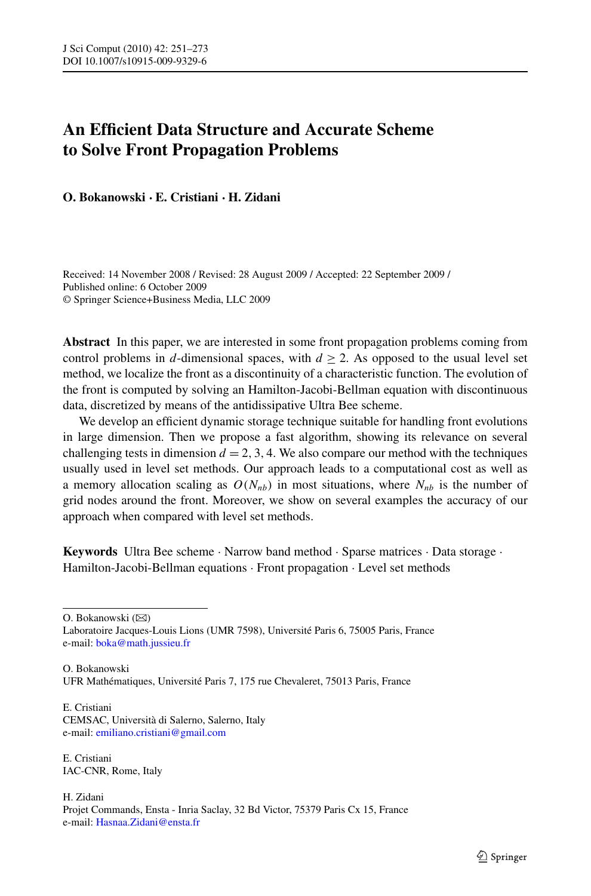# **An Efficient Data Structure and Accurate Scheme to Solve Front Propagation Problems**

**O. Bokanowski · E. Cristiani · H. Zidani**

Received: 14 November 2008 / Revised: 28 August 2009 / Accepted: 22 September 2009 / Published online: 6 October 2009 © Springer Science+Business Media, LLC 2009

**Abstract** In this paper, we are interested in some front propagation problems coming from control problems in *d*-dimensional spaces, with  $d \ge 2$ . As opposed to the usual level set method, we localize the front as a discontinuity of a characteristic function. The evolution of the front is computed by solving an Hamilton-Jacobi-Bellman equation with discontinuous data, discretized by means of the antidissipative Ultra Bee scheme.

We develop an efficient dynamic storage technique suitable for handling front evolutions in large dimension. Then we propose a fast algorithm, showing its relevance on several challenging tests in dimension  $d = 2, 3, 4$ . We also compare our method with the techniques usually used in level set methods. Our approach leads to a computational cost as well as a memory allocation scaling as  $O(N_{nb})$  in most situations, where  $N_{nb}$  is the number of grid nodes around the front. Moreover, we show on several examples the accuracy of our approach when compared with level set methods.

**Keywords** Ultra Bee scheme · Narrow band method · Sparse matrices · Data storage · Hamilton-Jacobi-Bellman equations · Front propagation · Level set methods

O. Bokanowski (⊠)

O. Bokanowski UFR Mathématiques, Université Paris 7, 175 rue Chevaleret, 75013 Paris, France

E. Cristiani CEMSAC, Università di Salerno, Salerno, Italy e-mail: [emiliano.cristiani@gmail.com](mailto:emiliano.cristiani@gmail.com)

E. Cristiani IAC-CNR, Rome, Italy

H. Zidani Projet Commands, Ensta - Inria Saclay, 32 Bd Victor, 75379 Paris Cx 15, France e-mail: [Hasnaa.Zidani@ensta.fr](mailto:Hasnaa.Zidani@ensta.fr)

Laboratoire Jacques-Louis Lions (UMR 7598), Université Paris 6, 75005 Paris, France e-mail: [boka@math.jussieu.fr](mailto:boka@math.jussieu.fr)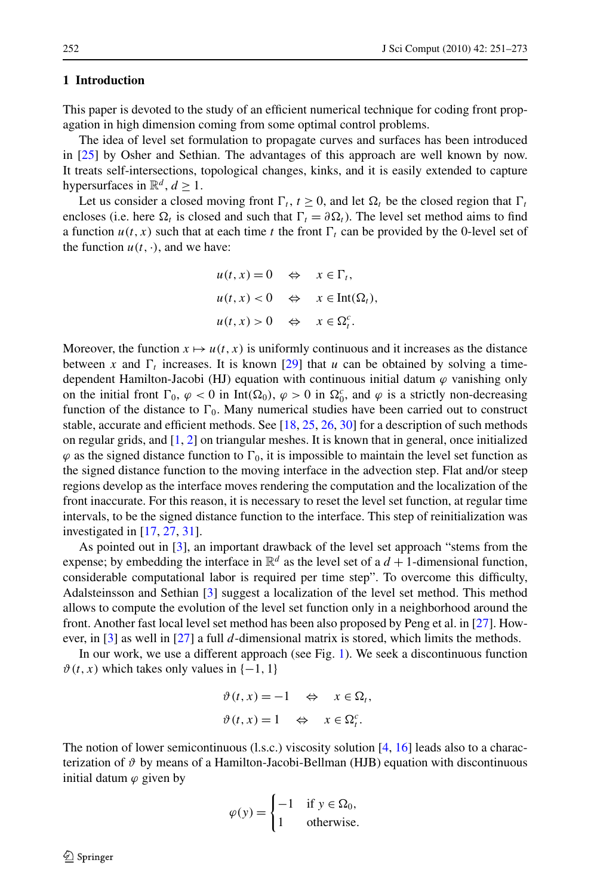## **1 Introduction**

This paper is devoted to the study of an efficient numerical technique for coding front propagation in high dimension coming from some optimal control problems.

The idea of level set formulation to propagate curves and surfaces has been introduced in [[25](#page-22-0)] by Osher and Sethian. The advantages of this approach are well known by now. It treats self-intersections, topological changes, kinks, and it is easily extended to capture hypersurfaces in  $\mathbb{R}^d$ ,  $d > 1$ .

Let us consider a closed moving front  $\Gamma_t$ ,  $t \geq 0$ , and let  $\Omega_t$  be the closed region that  $\Gamma_t$ encloses (i.e. here  $\Omega_t$  is closed and such that  $\Gamma_t = \partial \Omega_t$ ). The level set method aims to find a function  $u(t, x)$  such that at each time *t* the front  $\Gamma_t$  can be provided by the 0-level set of the function  $u(t, \cdot)$ , and we have:

$$
u(t, x) = 0 \Leftrightarrow x \in \Gamma_t,
$$
  

$$
u(t, x) < 0 \Leftrightarrow x \in Int(\Omega_t),
$$
  

$$
u(t, x) > 0 \Leftrightarrow x \in \Omega_t^c.
$$

Moreover, the function  $x \mapsto u(t, x)$  is uniformly continuous and it increases as the distance between *x* and  $\Gamma$ <sub>t</sub> increases. It is known [[29](#page-22-0)] that *u* can be obtained by solving a timedependent Hamilton-Jacobi (HJ) equation with continuous initial datum  $\varphi$  vanishing only on the initial front  $\Gamma_0$ ,  $\varphi$  < 0 in Int( $\Omega_0$ ),  $\varphi$  > 0 in  $\Omega_0^c$ , and  $\varphi$  is a strictly non-decreasing function of the distance to  $\Gamma_0$ . Many numerical studies have been carried out to construct stable, accurate and efficient methods. See [\[18](#page-22-0), [25](#page-22-0), [26](#page-22-0), [30](#page-22-0)] for a description of such methods on regular grids, and [[1,](#page-21-0) [2\]](#page-21-0) on triangular meshes. It is known that in general, once initialized  $\varphi$  as the signed distance function to  $\Gamma_0$ , it is impossible to maintain the level set function as the signed distance function to the moving interface in the advection step. Flat and/or steep regions develop as the interface moves rendering the computation and the localization of the front inaccurate. For this reason, it is necessary to reset the level set function, at regular time intervals, to be the signed distance function to the interface. This step of reinitialization was investigated in [\[17,](#page-22-0) [27,](#page-22-0) [31](#page-22-0)].

As pointed out in [\[3](#page-21-0)], an important drawback of the level set approach "stems from the expense; by embedding the interface in  $\mathbb{R}^d$  as the level set of a  $d + 1$ -dimensional function, considerable computational labor is required per time step". To overcome this difficulty, Adalsteinsson and Sethian [\[3\]](#page-21-0) suggest a localization of the level set method. This method allows to compute the evolution of the level set function only in a neighborhood around the front. Another fast local level set method has been also proposed by Peng et al. in [\[27\]](#page-22-0). However, in [[3\]](#page-21-0) as well in [\[27](#page-22-0)] a full *d*-dimensional matrix is stored, which limits the methods.

In our work, we use a different approach (see Fig. [1\)](#page-2-0). We seek a discontinuous function  $\vartheta(t, x)$  which takes only values in  $\{-1, 1\}$ 

$$
\vartheta(t, x) = -1 \quad \Leftrightarrow \quad x \in \Omega_t,
$$
  

$$
\vartheta(t, x) = 1 \quad \Leftrightarrow \quad x \in \Omega_t^c.
$$

The notion of lower semicontinuous  $(l.s.c.)$  viscosity solution  $[4, 16]$  $[4, 16]$  $[4, 16]$  $[4, 16]$  $[4, 16]$  leads also to a characterization of  $\vartheta$  by means of a Hamilton-Jacobi-Bellman (HJB) equation with discontinuous initial datum *ϕ* given by

$$
\varphi(y) = \begin{cases} -1 & \text{if } y \in \Omega_0, \\ 1 & \text{otherwise.} \end{cases}
$$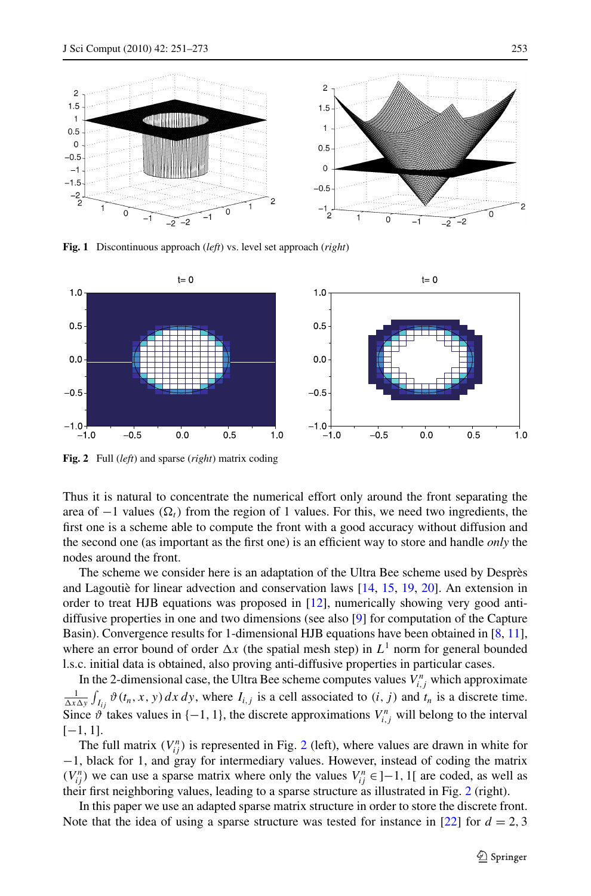<span id="page-2-0"></span>

**Fig. 1** Discontinuous approach (*left*) vs. level set approach (*right*)



**Fig. 2** Full (*left*) and sparse (*right*) matrix coding

Thus it is natural to concentrate the numerical effort only around the front separating the area of  $-1$  values  $(\Omega_t)$  from the region of 1 values. For this, we need two ingredients, the first one is a scheme able to compute the front with a good accuracy without diffusion and the second one (as important as the first one) is an efficient way to store and handle *only* the nodes around the front.

The scheme we consider here is an adaptation of the Ultra Bee scheme used by Desprès and Lagoutiè for linear advection and conservation laws [\[14,](#page-21-0) [15](#page-22-0), [19](#page-22-0), [20](#page-22-0)]. An extension in order to treat HJB equations was proposed in [[12](#page-21-0)], numerically showing very good antidiffusive properties in one and two dimensions (see also [[9\]](#page-21-0) for computation of the Capture Basin). Convergence results for 1-dimensional HJB equations have been obtained in [\[8](#page-21-0), [11](#page-21-0)], where an error bound of order  $\Delta x$  (the spatial mesh step) in  $L<sup>1</sup>$  norm for general bounded l.s.c. initial data is obtained, also proving anti-diffusive properties in particular cases.

In the 2-dimensional case, the Ultra Bee scheme computes values  $V_{i,j}^n$  which approximate  $\frac{1}{\Delta x \Delta y} \int_{I_{ij}} \vartheta(t_n, x, y) dx dy$ , where  $I_{i,j}$  is a cell associated to  $(i, j)$  and  $t_n$  is a discrete time. Since  $\vartheta$  takes values in {−1, 1}, the discrete approximations  $V_{i,j}^n$  will belong to the interval [−1*,* 1].

The full matrix  $(V_{ij}^n)$  is represented in Fig. 2 (left), where values are drawn in white for −1, black for 1, and gray for intermediary values. However, instead of coding the matrix *(V<sub>ij</sub>*) we can use a sparse matrix where only the values  $V_{ij}^n$  ∈ ]−1, 1[ are coded, as well as their first neighboring values, leading to a sparse structure as illustrated in Fig. 2 (right).

In this paper we use an adapted sparse matrix structure in order to store the discrete front. Note that the idea of using a sparse structure was tested for instance in [[22](#page-22-0)] for  $d = 2, 3$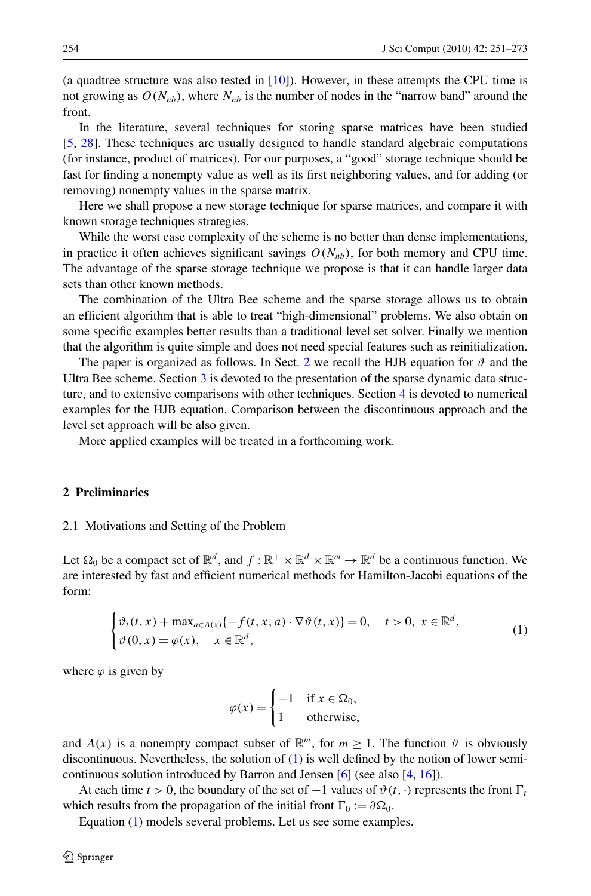<span id="page-3-0"></span>(a quadtree structure was also tested in [[10](#page-21-0)]). However, in these attempts the CPU time is not growing as  $O(N_{nb})$ , where  $N_{nb}$  is the number of nodes in the "narrow band" around the front.

In the literature, several techniques for storing sparse matrices have been studied [[5,](#page-21-0) [28\]](#page-22-0). These techniques are usually designed to handle standard algebraic computations (for instance, product of matrices). For our purposes, a "good" storage technique should be fast for finding a nonempty value as well as its first neighboring values, and for adding (or removing) nonempty values in the sparse matrix.

Here we shall propose a new storage technique for sparse matrices, and compare it with known storage techniques strategies.

While the worst case complexity of the scheme is no better than dense implementations, in practice it often achieves significant savings  $O(N_{nb})$ , for both memory and CPU time. The advantage of the sparse storage technique we propose is that it can handle larger data sets than other known methods.

The combination of the Ultra Bee scheme and the sparse storage allows us to obtain an efficient algorithm that is able to treat "high-dimensional" problems. We also obtain on some specific examples better results than a traditional level set solver. Finally we mention that the algorithm is quite simple and does not need special features such as reinitialization.

The paper is organized as follows. In Sect. 2 we recall the HJB equation for  $\vartheta$  and the Ultra Bee scheme. Section [3](#page-8-0) is devoted to the presentation of the sparse dynamic data structure, and to extensive comparisons with other techniques. Section [4](#page-14-0) is devoted to numerical examples for the HJB equation. Comparison between the discontinuous approach and the level set approach will be also given.

More applied examples will be treated in a forthcoming work.

## **2 Preliminaries**

#### 2.1 Motivations and Setting of the Problem

Let  $\Omega_0$  be a compact set of  $\mathbb{R}^d$ , and  $f : \mathbb{R}^+ \times \mathbb{R}^d \times \mathbb{R}^m \to \mathbb{R}^d$  be a continuous function. We are interested by fast and efficient numerical methods for Hamilton-Jacobi equations of the form:

$$
\begin{cases} \vartheta_t(t,x) + \max_{a \in A(x)} \{-f(t,x,a) \cdot \nabla \vartheta(t,x)\} = 0, \quad t > 0, \ x \in \mathbb{R}^d, \\ \vartheta(0,x) = \varphi(x), \quad x \in \mathbb{R}^d, \end{cases}
$$
 (1)

where  $\varphi$  is given by

$$
\varphi(x) = \begin{cases} -1 & \text{if } x \in \Omega_0, \\ 1 & \text{otherwise,} \end{cases}
$$

and  $A(x)$  is a nonempty compact subset of  $\mathbb{R}^m$ , for  $m \geq 1$ . The function  $\vartheta$  is obviously discontinuous. Nevertheless, the solution of (1) is well defined by the notion of lower semicontinuous solution introduced by Barron and Jensen  $[6]$  $[6]$  $[6]$  (see also  $[4, 16]$  $[4, 16]$  $[4, 16]$  $[4, 16]$ ).

At each time *t* > 0, the boundary of the set of  $-1$  values of  $\vartheta(t, \cdot)$  represents the front  $\Gamma_i$ which results from the propagation of the initial front  $\Gamma_0 := \partial \Omega_0$ .

Equation (1) models several problems. Let us see some examples.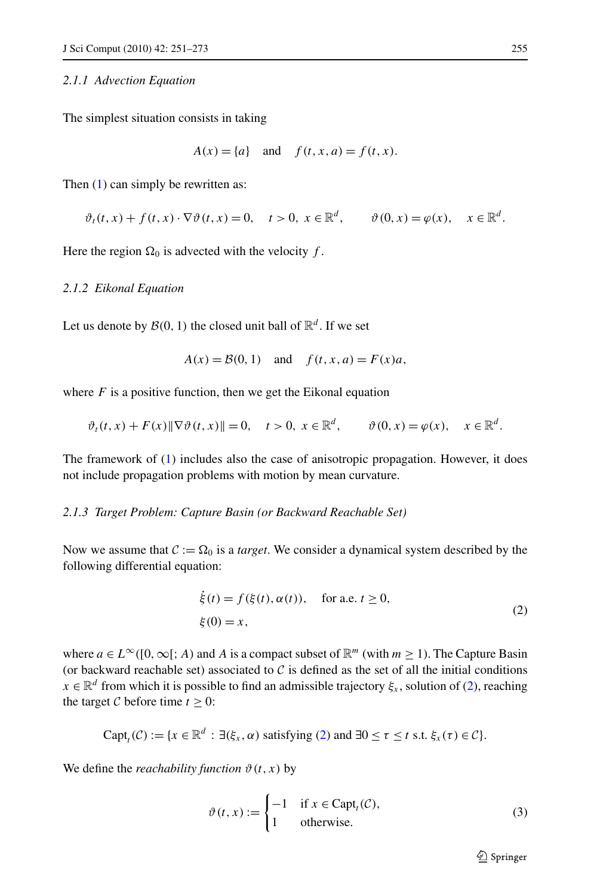#### <span id="page-4-0"></span>*2.1.1 Advection Equation*

The simplest situation consists in taking

$$
A(x) = \{a\}
$$
 and  $f(t, x, a) = f(t, x)$ .

Then ([1\)](#page-3-0) can simply be rewritten as:

 $\vartheta_t(t,x) + f(t,x) \cdot \nabla \vartheta(t,x) = 0, \quad t > 0, \ x \in \mathbb{R}^d, \qquad \vartheta(0,x) = \varphi(x), \quad x \in \mathbb{R}^d.$ 

Here the region  $\Omega_0$  is advected with the velocity *f*.

#### *2.1.2 Eikonal Equation*

Let us denote by  $\mathcal{B}(0, 1)$  the closed unit ball of  $\mathbb{R}^d$ . If we set

$$
A(x) = B(0, 1) \quad \text{and} \quad f(t, x, a) = F(x)a,
$$

where  $F$  is a positive function, then we get the Eikonal equation

$$
\vartheta_t(t,x) + F(x) \|\nabla \vartheta(t,x)\| = 0, \quad t > 0, \ x \in \mathbb{R}^d, \qquad \vartheta(0,x) = \varphi(x), \quad x \in \mathbb{R}^d.
$$

The framework of [\(1\)](#page-3-0) includes also the case of anisotropic propagation. However, it does not include propagation problems with motion by mean curvature.

#### *2.1.3 Target Problem: Capture Basin (or Backward Reachable Set)*

Now we assume that  $C := \Omega_0$  is a *target*. We consider a dynamical system described by the following differential equation:

$$
\dot{\xi}(t) = f(\xi(t), \alpha(t)), \quad \text{for a.e. } t \ge 0,
$$
  

$$
\xi(0) = x,
$$
 (2)

where  $a \in L^{\infty}([0,\infty[;A))$  and A is a compact subset of  $\mathbb{R}^m$  (with  $m \geq 1$ ). The Capture Basin (or backward reachable set) associated to  $C$  is defined as the set of all the initial conditions  $x \in \mathbb{R}^d$  from which it is possible to find an admissible trajectory  $\xi_x$ , solution of (2), reaching the target C before time  $t \geq 0$ :

$$
\mathrm{Capt}_t(\mathcal{C}) := \{x \in \mathbb{R}^d : \exists (\xi_x, \alpha) \text{ satisfying (2) and } \exists 0 \le \tau \le t \text{ s.t. } \xi_x(\tau) \in \mathcal{C}\}.
$$

We define the *reachability function*  $\vartheta(t, x)$  by

$$
\vartheta(t, x) := \begin{cases}\n-1 & \text{if } x \in \text{Capt}_t(\mathcal{C}), \\
1 & \text{otherwise.} \n\end{cases}
$$
\n(3)

 $\textcircled{2}$  Springer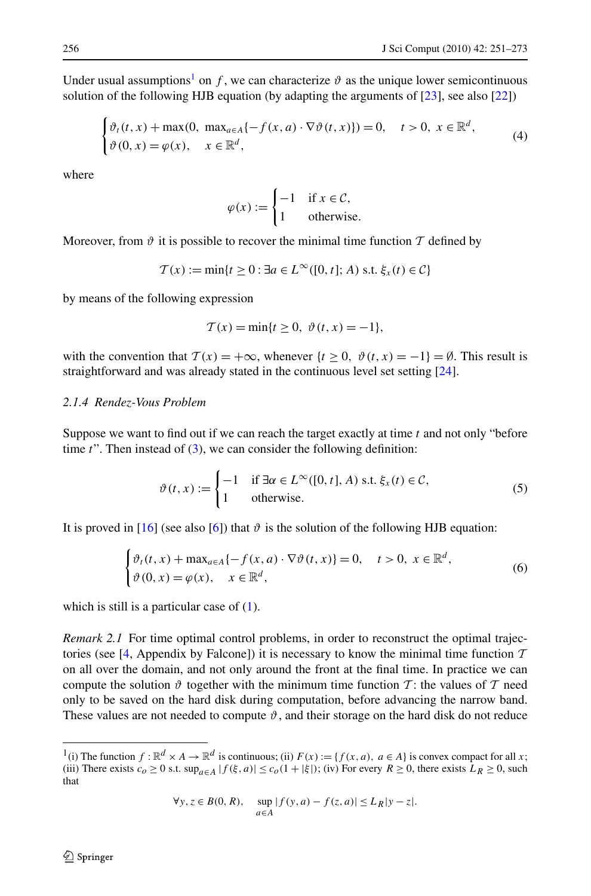<span id="page-5-0"></span>Under usual assumptions<sup>1</sup> on f, we can characterize  $\vartheta$  as the unique lower semicontinuous solution of the following HJB equation (by adapting the arguments of  $[23]$  $[23]$  $[23]$ , see also  $[22]$ )

$$
\begin{cases} \vartheta_t(t,x) + \max(0, \max_{a \in A} \{-f(x,a) \cdot \nabla \vartheta(t,x)\}) = 0, \quad t > 0, \ x \in \mathbb{R}^d, \\ \vartheta(0,x) = \varphi(x), \quad x \in \mathbb{R}^d, \end{cases}
$$
(4)

where

$$
\varphi(x) := \begin{cases} -1 & \text{if } x \in \mathcal{C}, \\ 1 & \text{otherwise.} \end{cases}
$$

Moreover, from  $\vartheta$  it is possible to recover the minimal time function T defined by

$$
\mathcal{T}(x) := \min\{t \ge 0 : \exists a \in L^{\infty}([0, t]; A) \text{ s.t. } \xi_x(t) \in \mathcal{C}\}\
$$

by means of the following expression

$$
\mathcal{T}(x) = \min\{t \ge 0, \ \vartheta(t, x) = -1\},\
$$

with the convention that  $\mathcal{T}(x) = +\infty$ , whenever  $\{t \geq 0, \ \vartheta(t, x) = -1\} = \emptyset$ . This result is straightforward and was already stated in the continuous level set setting [[24](#page-22-0)].

#### *2.1.4 Rendez-Vous Problem*

Suppose we want to find out if we can reach the target exactly at time *t* and not only "before time  $t$ ". Then instead of  $(3)$ , we can consider the following definition:

$$
\vartheta(t, x) := \begin{cases}\n-1 & \text{if } \exists \alpha \in L^{\infty}([0, t], A) \text{ s.t. } \xi_x(t) \in \mathcal{C}, \\
1 & \text{otherwise.} \n\end{cases}
$$
\n(5)

It is proved in  $[16]$  $[16]$  $[16]$  (see also [\[6\]](#page-21-0)) that  $\vartheta$  is the solution of the following HJB equation:

$$
\begin{cases} \vartheta_t(t,x) + \max_{a \in A} \{-f(x,a) \cdot \nabla \vartheta(t,x)\} = 0, \quad t > 0, \ x \in \mathbb{R}^d, \\ \vartheta(0,x) = \varphi(x), \quad x \in \mathbb{R}^d, \end{cases}
$$
 (6)

which is still is a particular case of  $(1)$  $(1)$  $(1)$ .

*Remark 2.1* For time optimal control problems, in order to reconstruct the optimal trajec-tories (see [[4](#page-21-0), Appendix by Falcone]) it is necessary to know the minimal time function  $\tau$ on all over the domain, and not only around the front at the final time. In practice we can compute the solution  $\vartheta$  together with the minimum time function T: the values of T need only to be saved on the hard disk during computation, before advancing the narrow band. These values are not needed to compute  $\vartheta$ , and their storage on the hard disk do not reduce

$$
\forall y, z \in B(0, R), \quad \sup_{a \in A} |f(y, a) - f(z, a)| \le L_R |y - z|.
$$

<sup>&</sup>lt;sup>1</sup>(i) The function  $f: \mathbb{R}^d \times A \to \mathbb{R}^d$  is continuous; (ii)  $F(x) := \{f(x, a), a \in A\}$  is convex compact for all *x*; (iii) There exists  $c_0 \ge 0$  s.t.  $\sup_{a \in A} |f(\xi, a)| \le c_0(1 + |\xi|)$ ; (iv) For every  $R \ge 0$ , there exists  $L_R \ge 0$ , such that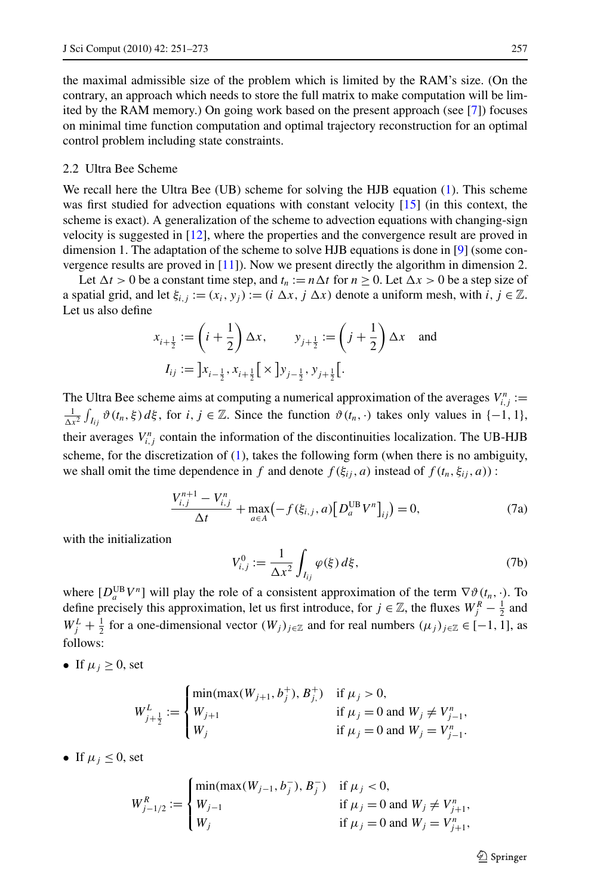<span id="page-6-0"></span>the maximal admissible size of the problem which is limited by the RAM's size. (On the contrary, an approach which needs to store the full matrix to make computation will be limited by the RAM memory.) On going work based on the present approach (see [[7](#page-21-0)]) focuses on minimal time function computation and optimal trajectory reconstruction for an optimal control problem including state constraints.

# 2.2 Ultra Bee Scheme

We recall here the Ultra Bee (UB) scheme for solving the HJB equation [\(1\)](#page-3-0). This scheme was first studied for advection equations with constant velocity [\[15\]](#page-22-0) (in this context, the scheme is exact). A generalization of the scheme to advection equations with changing-sign velocity is suggested in [\[12\]](#page-21-0), where the properties and the convergence result are proved in dimension 1. The adaptation of the scheme to solve HJB equations is done in  $[9]$  $[9]$  (some convergence results are proved in [\[11\]](#page-21-0)). Now we present directly the algorithm in dimension 2.

Let  $\Delta t > 0$  be a constant time step, and  $t_n := n \Delta t$  for  $n \ge 0$ . Let  $\Delta x > 0$  be a step size of a spatial grid, and let  $\xi_{i,j} := (x_i, y_j) := (i \Delta x, j \Delta x)$  denote a uniform mesh, with  $i, j \in \mathbb{Z}$ . Let us also define

$$
x_{i+\frac{1}{2}} := \left(i+\frac{1}{2}\right)\Delta x, \qquad y_{j+\frac{1}{2}} := \left(j+\frac{1}{2}\right)\Delta x \quad \text{and}
$$

$$
I_{ij} := \left]x_{i-\frac{1}{2}}, x_{i+\frac{1}{2}}\right[ \times \left]y_{j-\frac{1}{2}}, y_{j+\frac{1}{2}}\right[.
$$

The Ultra Bee scheme aims at computing a numerical approximation of the averages  $V_{i,j}^n :=$  $\frac{1}{\Delta x^2} \int_{I_{ij}} \vartheta(t_n, \xi) d\xi$ , for  $i, j \in \mathbb{Z}$ . Since the function  $\vartheta(t_n, \cdot)$  takes only values in {-1, 1}, their averages  $V_{i,j}^n$  contain the information of the discontinuities localization. The UB-HJB scheme, for the discretization of  $(1)$  $(1)$ , takes the following form (when there is no ambiguity, we shall omit the time dependence in *f* and denote  $f(\xi_{ij}, a)$  instead of  $f(t_n, \xi_{ij}, a)$ :

$$
\frac{V_{i,j}^{n+1} - V_{i,j}^n}{\Delta t} + \max_{a \in A} \left( -f(\xi_{i,j}, a) \left[ D_a^{\text{UB}} V^n \right]_{ij} \right) = 0,\tag{7a}
$$

with the initialization

$$
V_{i,j}^{0} := \frac{1}{\Delta x^{2}} \int_{I_{ij}} \varphi(\xi) d\xi,
$$
 (7b)

where  $[D_a^{\text{UB}}V^n]$  will play the role of a consistent approximation of the term  $\nabla \vartheta(t_n, \cdot)$ . To define precisely this approximation, let us first introduce, for  $j \in \mathbb{Z}$ , the fluxes  $W_j^R - \frac{1}{2}$  and *W*<sup>*L*</sup> +  $\frac{1}{2}$  for a one-dimensional vector *(W<sub>j</sub>)j*∈Z and for real numbers  $(\mu_j)_{j \in \mathbb{Z}}$  ∈ [−1, 1], as follows:

• If  $\mu_j \geq 0$ , set

$$
W_{j+\frac{1}{2}}^{L} := \begin{cases} \min(\max(W_{j+1}, b_j^+), B_j^+), & \text{if } \mu_j > 0, \\ W_{j+1} & \text{if } \mu_j = 0 \text{ and } W_j \neq V_{j-1}^n, \\ W_j & \text{if } \mu_j = 0 \text{ and } W_j = V_{j-1}^n. \end{cases}
$$

• If  $\mu_j \leq 0$ , set

$$
W_{j-1/2}^R := \begin{cases} \min(\max(W_{j-1}, b_j^-), B_j^-) & \text{if } \mu_j < 0, \\ W_{j-1} & \text{if } \mu_j = 0 \text{ and } W_j \neq V_{j+1}^n, \\ W_j & \text{if } \mu_j = 0 \text{ and } W_j = V_{j+1}^n, \end{cases}
$$

 $\mathcal{D}$  Springer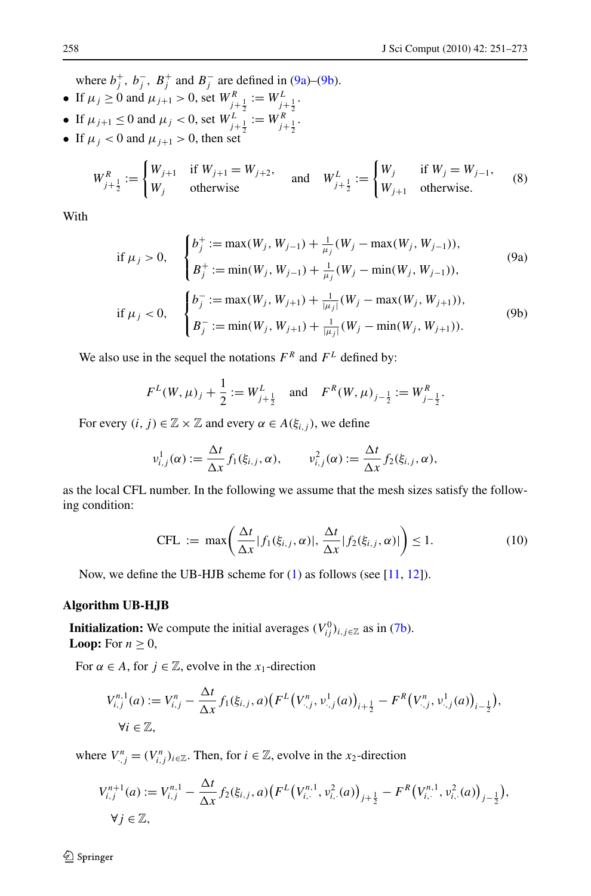<span id="page-7-0"></span>where  $b_j^+$ ,  $b_j^-$ ,  $B_j^+$  and  $B_j^-$  are defined in (9a)–(9b).

- If  $\mu_j \ge 0$  and  $\mu_{j+1} > 0$ , set  $W_{j+\frac{1}{2}}^R := W_{j+\frac{1}{2}}^L$ .
- If  $\mu_{j+1} \le 0$  and  $\mu_j < 0$ , set  $W_{j+\frac{1}{2}}^{j+\frac{2}{2}} := W_{j+\frac{1}{2}}^{k+\frac{2}{2}}$ .
- If  $\mu_j < 0$  and  $\mu_{j+1} > 0$ , then set

$$
W_{j+\frac{1}{2}}^R := \begin{cases} W_{j+1} & \text{if } W_{j+1} = W_{j+2}, \\ W_j & \text{otherwise} \end{cases} \text{ and } W_{j+\frac{1}{2}}^L := \begin{cases} W_j & \text{if } W_j = W_{j-1}, \\ W_{j+1} & \text{otherwise.} \end{cases} (8)
$$

With

if 
$$
\mu_j > 0
$$
, 
$$
\begin{cases} b_j^+ := \max(W_j, W_{j-1}) + \frac{1}{\mu_j}(W_j - \max(W_j, W_{j-1})), \\ B_j^+ := \min(W_j, W_{j-1}) + \frac{1}{\mu_j}(W_j - \min(W_j, W_{j-1})), \end{cases}
$$
(9a)

if 
$$
\mu_j < 0
$$
, 
$$
\begin{cases} b_j^- := \max(W_j, W_{j+1}) + \frac{1}{|\mu_j|}(W_j - \max(W_j, W_{j+1})), \\ B_j^- := \min(W_j, W_{j+1}) + \frac{1}{|\mu_j|}(W_j - \min(W_j, W_{j+1})). \end{cases}
$$
 (9b)

We also use in the sequel the notations  $F^R$  and  $F^L$  defined by:

$$
F^{L}(W, \mu)_{j} + \frac{1}{2} := W^{L}_{j + \frac{1}{2}}
$$
 and  $F^{R}(W, \mu)_{j - \frac{1}{2}} := W^{R}_{j - \frac{1}{2}}$ .

For every  $(i, j) \in \mathbb{Z} \times \mathbb{Z}$  and every  $\alpha \in A(\xi_{i,j})$ , we define

$$
v_{i,j}^1(\alpha) := \frac{\Delta t}{\Delta x} f_1(\xi_{i,j}, \alpha), \qquad v_{i,j}^2(\alpha) := \frac{\Delta t}{\Delta x} f_2(\xi_{i,j}, \alpha),
$$

as the local CFL number. In the following we assume that the mesh sizes satisfy the following condition:

$$
\text{CFL} := \max\left(\frac{\Delta t}{\Delta x}|f_1(\xi_{i,j}, \alpha)|, \frac{\Delta t}{\Delta x}|f_2(\xi_{i,j}, \alpha)|\right) \le 1. \tag{10}
$$

Now, we define the UB-HJB scheme for ([1](#page-3-0)) as follows (see [\[11,](#page-21-0) [12](#page-21-0)]).

#### **Algorithm UB-HJB**

**Initialization:** We compute the initial averages  $(V_{ij}^0)_{i,j\in\mathbb{Z}}$  as in [\(7b\)](#page-6-0). **Loop:** For  $n \geq 0$ ,

For  $\alpha \in A$ , for  $j \in \mathbb{Z}$ , evolve in the  $x_1$ -direction

$$
V_{i,j}^{n,1}(a) := V_{i,j}^{n} - \frac{\Delta t}{\Delta x} f_1(\xi_{i,j}, a) \big( F^L(V_{\cdot,j}^n, v_{\cdot,j}^1(a))_{i+\frac{1}{2}} - F^R(V_{\cdot,j}^n, v_{\cdot,j}^1(a))_{i-\frac{1}{2}} \big),
$$
  
\n
$$
\forall i \in \mathbb{Z},
$$

where  $V_{i,j}^n = (V_{i,j}^n)_{i \in \mathbb{Z}}$ . Then, for  $i \in \mathbb{Z}$ , evolve in the *x*<sub>2</sub>-direction

$$
V_{i,j}^{n+1}(a) := V_{i,j}^{n,1} - \frac{\Delta t}{\Delta x} f_2(\xi_{i,j}, a) \big( F^L(V_{i,\cdot}^{n,1}, v_{i,\cdot}^2(a))_{j+\frac{1}{2}} - F^R(V_{i,\cdot}^{n,1}, v_{i,\cdot}^2(a))_{j-\frac{1}{2}} \big),
$$
  
\n
$$
\forall j \in \mathbb{Z},
$$

 $\textcircled{2}$  Springer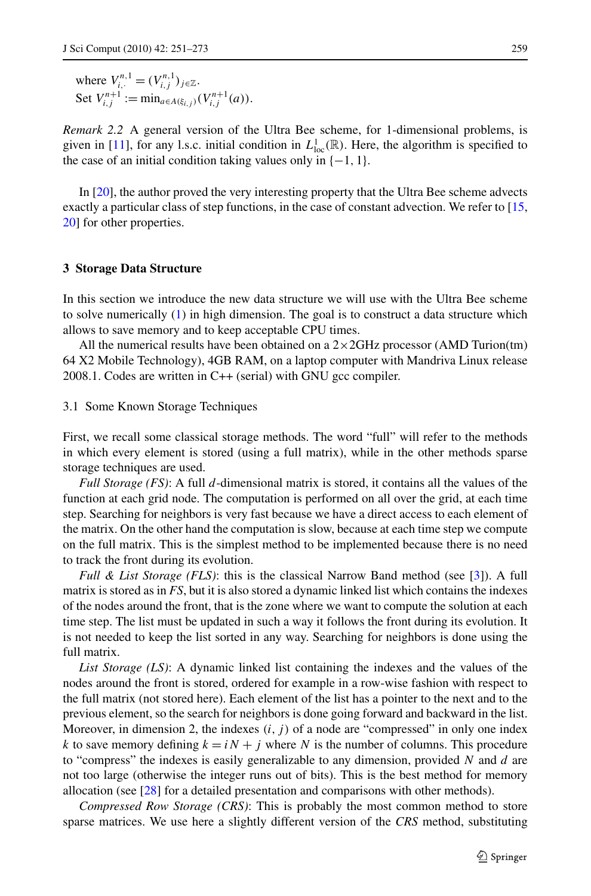<span id="page-8-0"></span>where  $V_{i,j}^{n,1} = (V_{i,j}^{n,1})_{j \in \mathbb{Z}}$ . Set  $V_{i,j}^{n+1} := \min_{a \in A(\xi_{i,j})} (V_{i,j}^{n+1}(a)).$ 

*Remark 2.2* A general version of the Ultra Bee scheme, for 1-dimensional problems, is given in [[11](#page-21-0)], for any l.s.c. initial condition in  $L^1_{loc}(\mathbb{R})$ . Here, the algorithm is specified to the case of an initial condition taking values only in  $\{-1, 1\}$ .

In [[20](#page-22-0)], the author proved the very interesting property that the Ultra Bee scheme advects exactly a particular class of step functions, in the case of constant advection. We refer to [[15](#page-22-0), [20](#page-22-0)] for other properties.

## **3 Storage Data Structure**

In this section we introduce the new data structure we will use with the Ultra Bee scheme to solve numerically ([1](#page-3-0)) in high dimension. The goal is to construct a data structure which allows to save memory and to keep acceptable CPU times.

All the numerical results have been obtained on a  $2 \times 2$ GHz processor (AMD Turion(tm) 64 X2 Mobile Technology), 4GB RAM, on a laptop computer with Mandriva Linux release 2008.1. Codes are written in C++ (serial) with GNU gcc compiler.

#### 3.1 Some Known Storage Techniques

First, we recall some classical storage methods. The word "full" will refer to the methods in which every element is stored (using a full matrix), while in the other methods sparse storage techniques are used.

*Full Storage (FS)*: A full *d*-dimensional matrix is stored, it contains all the values of the function at each grid node. The computation is performed on all over the grid, at each time step. Searching for neighbors is very fast because we have a direct access to each element of the matrix. On the other hand the computation is slow, because at each time step we compute on the full matrix. This is the simplest method to be implemented because there is no need to track the front during its evolution.

*Full & List Storage (FLS)*: this is the classical Narrow Band method (see [\[3](#page-21-0)]). A full matrix is stored as in *FS*, but it is also stored a dynamic linked list which contains the indexes of the nodes around the front, that is the zone where we want to compute the solution at each time step. The list must be updated in such a way it follows the front during its evolution. It is not needed to keep the list sorted in any way. Searching for neighbors is done using the full matrix.

*List Storage (LS)*: A dynamic linked list containing the indexes and the values of the nodes around the front is stored, ordered for example in a row-wise fashion with respect to the full matrix (not stored here). Each element of the list has a pointer to the next and to the previous element, so the search for neighbors is done going forward and backward in the list. Moreover, in dimension 2, the indexes *(i,j)* of a node are "compressed" in only one index *k* to save memory defining  $k = iN + j$  where *N* is the number of columns. This procedure to "compress" the indexes is easily generalizable to any dimension, provided *N* and *d* are not too large (otherwise the integer runs out of bits). This is the best method for memory allocation (see [\[28\]](#page-22-0) for a detailed presentation and comparisons with other methods).

*Compressed Row Storage (CRS)*: This is probably the most common method to store sparse matrices. We use here a slightly different version of the *CRS* method, substituting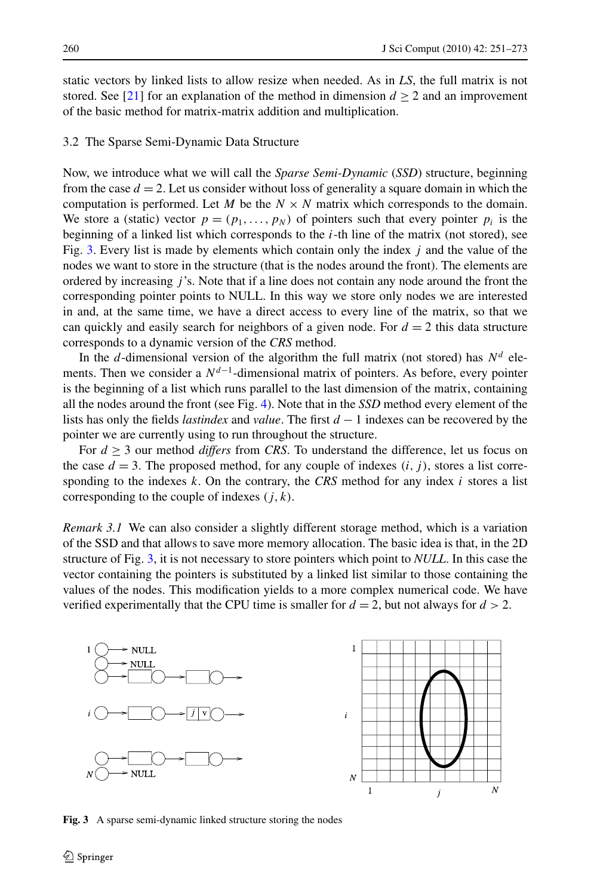static vectors by linked lists to allow resize when needed. As in *LS*, the full matrix is not stored. See [\[21\]](#page-22-0) for an explanation of the method in dimension  $d \ge 2$  and an improvement of the basic method for matrix-matrix addition and multiplication.

#### 3.2 The Sparse Semi-Dynamic Data Structure

Now, we introduce what we will call the *Sparse Semi-Dynamic* (*SSD*) structure, beginning from the case  $d = 2$ . Let us consider without loss of generality a square domain in which the computation is performed. Let *M* be the  $N \times N$  matrix which corresponds to the domain. We store a (static) vector  $p = (p_1, \ldots, p_N)$  of pointers such that every pointer  $p_i$  is the beginning of a linked list which corresponds to the *i*-th line of the matrix (not stored), see Fig. 3. Every list is made by elements which contain only the index *j* and the value of the nodes we want to store in the structure (that is the nodes around the front). The elements are ordered by increasing *j* 's. Note that if a line does not contain any node around the front the corresponding pointer points to NULL. In this way we store only nodes we are interested in and, at the same time, we have a direct access to every line of the matrix, so that we can quickly and easily search for neighbors of a given node. For  $d = 2$  this data structure corresponds to a dynamic version of the *CRS* method.

In the *d*-dimensional version of the algorithm the full matrix (not stored) has  $N^d$  elements. Then we consider a  $N^{d-1}$ -dimensional matrix of pointers. As before, every pointer is the beginning of a list which runs parallel to the last dimension of the matrix, containing all the nodes around the front (see Fig. [4\)](#page-10-0). Note that in the *SSD* method every element of the lists has only the fields *lastindex* and *value*. The first *d* − 1 indexes can be recovered by the pointer we are currently using to run throughout the structure.

For  $d \geq 3$  our method *differs* from *CRS*. To understand the difference, let us focus on the case  $d = 3$ . The proposed method, for any couple of indexes  $(i, j)$ , stores a list corresponding to the indexes  $k$ . On the contrary, the *CRS* method for any index  $i$  stores a list corresponding to the couple of indexes *(j,k)*.

*Remark 3.1* We can also consider a slightly different storage method, which is a variation of the SSD and that allows to save more memory allocation. The basic idea is that, in the 2D structure of Fig. 3, it is not necessary to store pointers which point to *NULL*. In this case the vector containing the pointers is substituted by a linked list similar to those containing the values of the nodes. This modification yields to a more complex numerical code. We have verified experimentally that the CPU time is smaller for  $d = 2$ , but not always for  $d > 2$ .



**Fig. 3** A sparse semi-dynamic linked structure storing the nodes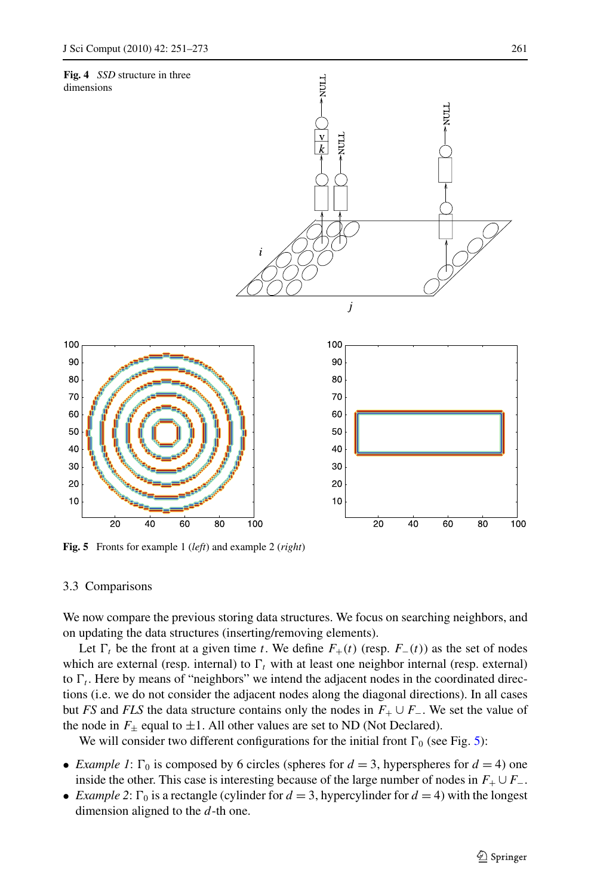<span id="page-10-0"></span>

**Fig. 5** Fronts for example 1 (*left*) and example 2 (*right*)

## 3.3 Comparisons

We now compare the previous storing data structures. We focus on searching neighbors, and on updating the data structures (inserting/removing elements).

Let  $\Gamma_t$  be the front at a given time *t*. We define  $F_+(t)$  (resp.  $F_-(t)$ ) as the set of nodes which are external (resp. internal) to  $\Gamma_t$  with at least one neighbor internal (resp. external) to  $\Gamma_t$ . Here by means of "neighbors" we intend the adjacent nodes in the coordinated directions (i.e. we do not consider the adjacent nodes along the diagonal directions). In all cases but *FS* and *FLS* the data structure contains only the nodes in  $F_+ \cup F_-$ . We set the value of the node in  $F_{\pm}$  equal to  $\pm 1$ . All other values are set to ND (Not Declared).

We will consider two different configurations for the initial front  $\Gamma_0$  (see Fig. 5):

- *Example 1*:  $\Gamma_0$  is composed by 6 circles (spheres for  $d = 3$ , hyperspheres for  $d = 4$ ) one inside the other. This case is interesting because of the large number of nodes in  $F_+ \cup F_-$ .
- *Example 2*:  $\Gamma_0$  is a rectangle (cylinder for  $d = 3$ , hypercylinder for  $d = 4$ ) with the longest dimension aligned to the *d*-th one.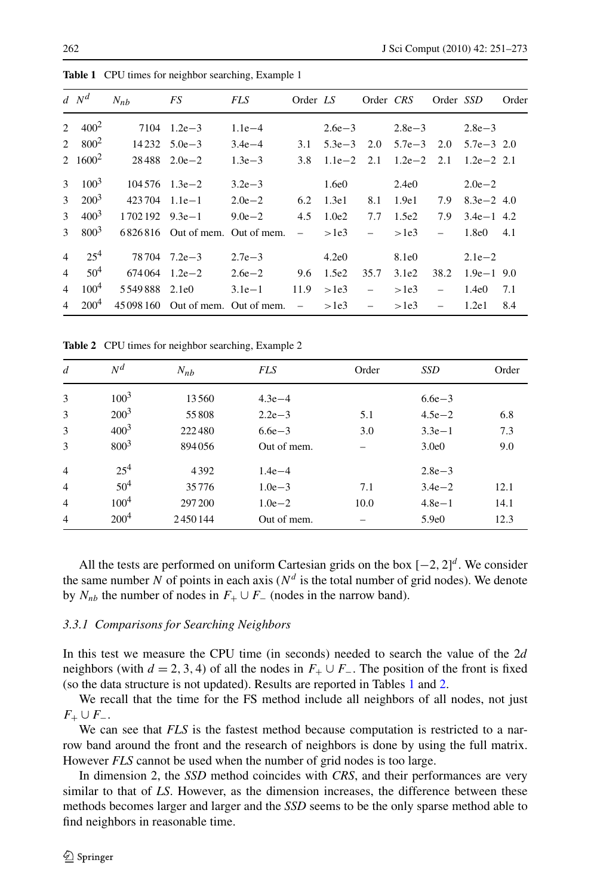| $d \, N^d$          | $N_{nh}$          | FS                                                                   | FLS        | Order LS |                               | Order CRS        |            | Order SSD |                    | Order |
|---------------------|-------------------|----------------------------------------------------------------------|------------|----------|-------------------------------|------------------|------------|-----------|--------------------|-------|
| 2 $400^2$           |                   | $7104$ 1.2e - 3                                                      | $1.1e-4$   |          | $2.6e - 3$                    |                  | $2.8e - 3$ |           | $2.8e - 3$         |       |
| 2 $800^2$           |                   | $14232 + 5.0e-3$                                                     | $3.4e - 4$ |          | 3.1 $5.3e-3$ 2.0 $5.7e-3$ 2.0 |                  |            |           | $5.7e - 3$ 2.0     |       |
| 2 1600 <sup>2</sup> |                   | $28488$ $2.0e-2$                                                     | $1.3e - 3$ |          | 3.8 $1.1e-2$ 2.1 $1.2e-2$ 2.1 |                  |            |           | $1.2e-2$ 2.1       |       |
| 3 $100^3$           | $104576$ $1.3e-2$ |                                                                      | $3.2e - 3$ |          | 1.6e0                         |                  | 2.4e0      |           | $2.0e - 2$         |       |
| $3 \t 200^3$        | $423704$ 1.1e-1   |                                                                      | $2.0e - 2$ |          | 6.2 1.3e1                     |                  | 8.1 1.9e1  | 7.9       | $8.3e-2$ 4.0       |       |
| 3 $400^3$           | $1702192$ 9.3e-1  |                                                                      | $9.0e - 2$ |          | $4.5 \quad 1.0e2$             |                  | 7.7 1.5e2  |           | $7.9$ $3.4e-1$ 4.2 |       |
| 3 $800^3$           |                   | 6826816 Out of mem. Out of mem.                                      |            |          | $-$ >1e3                      | $\sim$ 100 $\mu$ | >1e3       | $\sim$    | 1.8e0 4.1          |       |
| 4 $25^4$            |                   | $78704$ $7.2e-3$                                                     | $2.7e - 3$ |          | 4.2e0                         |                  | 8.1e0      |           | $2.1e-2$           |       |
| 4 $50^4$            |                   | $674064$ $12e-2$ $26e-2$ $96$ $15e2$ $357$ $31e2$ $382$ $19e-1$ $90$ |            |          |                               |                  |            |           |                    |       |

4 1004 5 549 888 2.1e0 3.1e−1 11*.*9 *>*1e3 – *>*1e3 – 1.4e0 7.1 4 2004 45 098 160 Out of mem. Out of mem. – *>*1e3 – *>*1e3 – 1.2e1 8.4

<span id="page-11-0"></span>**Table 1** CPU times for neighbor searching, Example 1

**Table 2** CPU times for neighbor searching, Example 2

| $\boldsymbol{d}$ | $N^d$           | $N_{nb}$ | <b>FLS</b>  | Order | SSD        | Order |
|------------------|-----------------|----------|-------------|-------|------------|-------|
| 3                | $100^3$         | 13560    | $4.3e - 4$  |       | $6.6e - 3$ |       |
| 3                | $200^3$         | 55808    | $2.2e - 3$  | 5.1   | $4.5e - 2$ | 6.8   |
| 3                | $400^3$         | 222480   | $6.6e - 3$  | 3.0   | $3.3e-1$   | 7.3   |
| 3                | $800^3$         | 894056   | Out of mem. |       | 3.0e0      | 9.0   |
| $\overline{4}$   | 25 <sup>4</sup> | 4392     | $1.4e - 4$  |       | $2.8e - 3$ |       |
| $\overline{4}$   | $50^{4}$        | 35776    | $1.0e - 3$  | 7.1   | $3.4e - 2$ | 12.1  |
| $\overline{4}$   | $100^4$         | 297 200  | $1.0e - 2$  | 10.0  | $4.8e - 1$ | 14.1  |
| $\overline{4}$   | $200^4$         | 2450144  | Out of mem. |       | 5.9e0      | 12.3  |

All the tests are performed on uniform Cartesian grids on the box [−2*,* 2] *<sup>d</sup>* . We consider the same number N of points in each axis ( $N<sup>d</sup>$  is the total number of grid nodes). We denote by  $N_{nb}$  the number of nodes in  $F_+ \cup F_-$  (nodes in the narrow band).

## *3.3.1 Comparisons for Searching Neighbors*

In this test we measure the CPU time (in seconds) needed to search the value of the 2*d* neighbors (with  $d = 2, 3, 4$ ) of all the nodes in  $F_+ \cup F_-.$  The position of the front is fixed (so the data structure is not updated). Results are reported in Tables 1 and 2.

We recall that the time for the FS method include all neighbors of all nodes, not just *F*<sup>+</sup> ∪ *F*−.

We can see that *FLS* is the fastest method because computation is restricted to a narrow band around the front and the research of neighbors is done by using the full matrix. However *FLS* cannot be used when the number of grid nodes is too large.

In dimension 2, the *SSD* method coincides with *CRS*, and their performances are very similar to that of *LS*. However, as the dimension increases, the difference between these methods becomes larger and larger and the *SSD* seems to be the only sparse method able to find neighbors in reasonable time.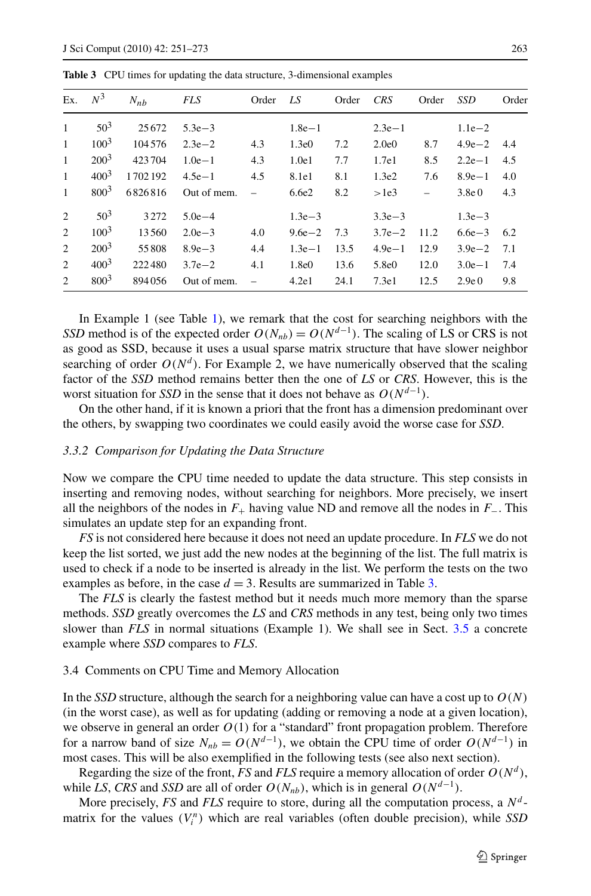| Ex.          | $N^3$    | $N_{nh}$ | <b>FLS</b>  | Order | LS         | Order | <b>CRS</b> | Order | SSD               | Order |
|--------------|----------|----------|-------------|-------|------------|-------|------------|-------|-------------------|-------|
| $\mathbf{1}$ | $50^{3}$ | 25672    | $5.3e - 3$  |       | $1.8e - 1$ |       | $2.3e-1$   |       | $1.1e-2$          |       |
| $\mathbf{1}$ | $100^3$  | 104576   | $2.3e - 2$  | 4.3   | 1.3e0      | 7.2   | 2.0e0      | 8.7   | $4.9e - 2$        | 4.4   |
| $\mathbf{1}$ | $200^3$  | 423704   | $1.0e-1$    | 4.3   | 1.0e1      | 7.7   | 1.7e1      | 8.5   | $2.2e-1$          | 4.5   |
| $\mathbf{1}$ | $400^3$  | 1702192  | $4.5e-1$    | 4.5   | 8.1e1      | 8.1   | 1.3e2      | 7.6   | $8.9e - 1$        | 4.0   |
| $\mathbf{1}$ | $800^3$  | 6826816  | Out of mem. |       | 6.6e2      | 8.2   | >1e3       |       | 3.8e0             | 4.3   |
| 2            | $50^{3}$ | 3272     | $5.0e-4$    |       | $1.3e - 3$ |       | $3.3e - 3$ |       | $1.3e - 3$        |       |
| 2            | $100^3$  | 13560    | $2.0e - 3$  | 4.0   | $9.6e - 2$ | 7.3   | $3.7e - 2$ | 11.2  | $6.6e - 3$        | 6.2   |
| 2            | $200^3$  | 55808    | $8.9e - 3$  | 4.4   | $1.3e-1$   | 13.5  | $4.9e-1$   | 12.9  | $3.9e - 2$        | 7.1   |
| 2            | $400^3$  | 222480   | $3.7e - 2$  | 4.1   | 1.8e0      | 13.6  | 5.8e0      | 12.0  | $3.0e-1$          | 7.4   |
| 2            | $800^3$  | 894056   | Out of mem. |       | 4.2e1      | 24.1  | 7.3e1      | 12.5  | 2.9e <sub>0</sub> | 9.8   |

**Table 3** CPU times for updating the data structure, 3-dimensional examples

In Example 1 (see Table [1](#page-11-0)), we remark that the cost for searching neighbors with the *SSD* method is of the expected order  $O(N_{nb}) = O(N^{d-1})$ . The scaling of LS or CRS is not as good as SSD, because it uses a usual sparse matrix structure that have slower neighbor searching of order  $O(N^d)$ . For Example 2, we have numerically observed that the scaling factor of the *SSD* method remains better then the one of *LS* or *CRS*. However, this is the worst situation for *SSD* in the sense that it does not behave as  $O(N^{d-1})$ .

On the other hand, if it is known a priori that the front has a dimension predominant over the others, by swapping two coordinates we could easily avoid the worse case for *SSD*.

# *3.3.2 Comparison for Updating the Data Structure*

Now we compare the CPU time needed to update the data structure. This step consists in inserting and removing nodes, without searching for neighbors. More precisely, we insert all the neighbors of the nodes in  $F_+$  having value ND and remove all the nodes in  $F_+$ . This simulates an update step for an expanding front.

*FS* is not considered here because it does not need an update procedure. In *FLS* we do not keep the list sorted, we just add the new nodes at the beginning of the list. The full matrix is used to check if a node to be inserted is already in the list. We perform the tests on the two examples as before, in the case  $d = 3$ . Results are summarized in Table 3.

The *FLS* is clearly the fastest method but it needs much more memory than the sparse methods. *SSD* greatly overcomes the *LS* and *CRS* methods in any test, being only two times slower than *FLS* in normal situations (Example 1). We shall see in Sect. [3.5](#page-13-0) a concrete example where *SSD* compares to *FLS*.

#### 3.4 Comments on CPU Time and Memory Allocation

In the *SSD* structure, although the search for a neighboring value can have a cost up to  $O(N)$ (in the worst case), as well as for updating (adding or removing a node at a given location), we observe in general an order *O(*1*)* for a "standard" front propagation problem. Therefore for a narrow band of size  $N_{nb} = O(N^{d-1})$ , we obtain the CPU time of order  $O(N^{d-1})$  in most cases. This will be also exemplified in the following tests (see also next section).

Regarding the size of the front, *FS* and *FLS* require a memory allocation of order  $O(N<sup>d</sup>)$ , while *LS*, *CRS* and *SSD* are all of order  $O(N_{nb})$ , which is in general  $O(N^{d-1})$ .

More precisely, *FS* and *FLS* require to store, during all the computation process, a *N<sup>d</sup>* matrix for the values  $(V_i^n)$  which are real variables (often double precision), while *SSD*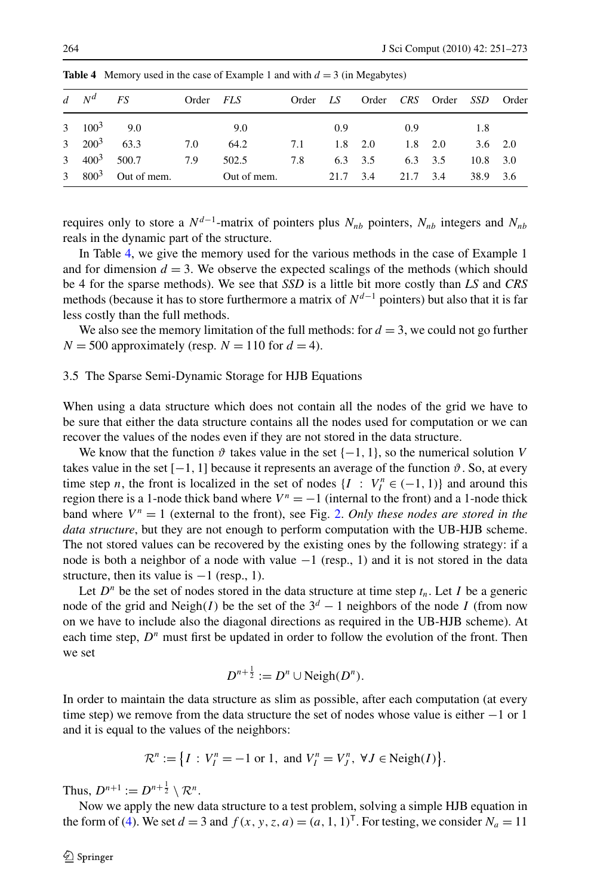| $d \, N^d$ FS |             | Order <i>FLS</i> |             | Order | LS       |                |                | Order CRS Order SSD Order |                |  |
|---------------|-------------|------------------|-------------|-------|----------|----------------|----------------|---------------------------|----------------|--|
| 3 $100^3$     | 9.0         |                  | 9.0         |       | 0.9      |                | 0.9            |                           | 1.8            |  |
| $3 \t 200^3$  | 63.3        | 7.0              | 64.2        | 7.1   |          | $1.8$ 2.0      |                | $1.8$ 2.0                 | $3.6\quad 2.0$ |  |
| 3 $400^3$     | 500.7       | 7.9              | 502.5       | 7.8   |          | $6.3\quad 3.5$ | $6.3\quad 3.5$ |                           | 10.8 3.0       |  |
| 3 $800^3$     | Out of mem. |                  | Out of mem. |       | 21.7 3.4 |                | 21.7           | 3.4                       | 38.9 3.6       |  |

<span id="page-13-0"></span>**Table 4** Memory used in the case of Example 1 and with  $d = 3$  (in Megabytes)

requires only to store a  $N^{d-1}$ -matrix of pointers plus  $N_{nb}$  pointers,  $N_{nb}$  integers and  $N_{nb}$ reals in the dynamic part of the structure.

In Table 4, we give the memory used for the various methods in the case of Example 1 and for dimension  $d = 3$ . We observe the expected scalings of the methods (which should be 4 for the sparse methods). We see that *SSD* is a little bit more costly than *LS* and *CRS* methods (because it has to store furthermore a matrix of *N<sup>d</sup>*−<sup>1</sup> pointers) but also that it is far less costly than the full methods.

We also see the memory limitation of the full methods: for  $d = 3$ , we could not go further  $N = 500$  approximately (resp.  $N = 110$  for  $d = 4$ ).

## 3.5 The Sparse Semi-Dynamic Storage for HJB Equations

When using a data structure which does not contain all the nodes of the grid we have to be sure that either the data structure contains all the nodes used for computation or we can recover the values of the nodes even if they are not stored in the data structure.

We know that the function  $\vartheta$  takes value in the set  $\{-1, 1\}$ , so the numerical solution *V* takes value in the set  $[-1, 1]$  because it represents an average of the function  $\vartheta$ . So, at every time step *n*, the front is localized in the set of nodes  $\{I : V_I^n \in (-1, 1)\}\$  and around this region there is a 1-node thick band where  $V^n = -1$  (internal to the front) and a 1-node thick band where  $V^n = 1$  (external to the front), see Fig. [2.](#page-2-0) *Only these nodes are stored in the data structure*, but they are not enough to perform computation with the UB-HJB scheme. The not stored values can be recovered by the existing ones by the following strategy: if a node is both a neighbor of a node with value  $-1$  (resp., 1) and it is not stored in the data structure, then its value is  $-1$  (resp., 1).

Let  $D^n$  be the set of nodes stored in the data structure at time step  $t_n$ . Let *I* be a generic node of the grid and Neigh(*I*) be the set of the  $3<sup>d</sup> - 1$  neighbors of the node *I* (from now on we have to include also the diagonal directions as required in the UB-HJB scheme). At each time step,  $D^n$  must first be updated in order to follow the evolution of the front. Then we set

$$
D^{n+\frac{1}{2}} := D^n \cup \mathrm{Neigh}(D^n).
$$

In order to maintain the data structure as slim as possible, after each computation (at every time step) we remove from the data structure the set of nodes whose value is either −1 or 1 and it is equal to the values of the neighbors:

$$
\mathcal{R}^n := \left\{ I : V_I^n = -1 \text{ or } 1, \text{ and } V_I^n = V_J^n, \ \forall J \in \text{Neigh}(I) \right\}.
$$

Thus,  $D^{n+1} := D^{n+\frac{1}{2}} \setminus \mathcal{R}^n$ .

Now we apply the new data structure to a test problem, solving a simple HJB equation in the form of ([4](#page-5-0)). We set  $d = 3$  and  $f(x, y, z, a) = (a, 1, 1)^T$ . For testing, we consider  $N_a = 11$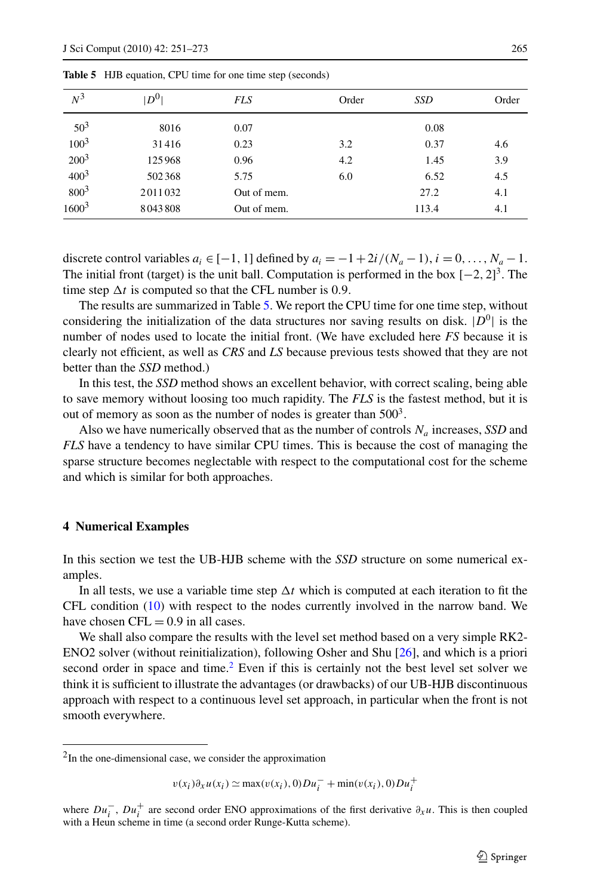| $N^3$            | $D^0$   | <b>FLS</b>  | Order | SSD   | Order |
|------------------|---------|-------------|-------|-------|-------|
| 50 <sup>3</sup>  | 8016    | 0.07        |       | 0.08  |       |
| $100^{3}$        | 31416   | 0.23        | 3.2   | 0.37  | 4.6   |
| 200 <sup>3</sup> | 125968  | 0.96        | 4.2   | 1.45  | 3.9   |
| $400^{3}$        | 502368  | 5.75        | 6.0   | 6.52  | 4.5   |
| $800^{3}$        | 2011032 | Out of mem. |       | 27.2  | 4.1   |
| $1600^3$         | 8043808 | Out of mem. |       | 113.4 | 4.1   |

<span id="page-14-0"></span>**Table 5** HJB equation, CPU time for one time step (seconds)

discrete control variables  $a_i \in [-1, 1]$  defined by  $a_i = -1 + 2i/(N_a - 1)$ ,  $i = 0, \ldots, N_a - 1$ . The initial front (target) is the unit ball. Computation is performed in the box [−2*,* 2] 3. The time step  $\Delta t$  is computed so that the CFL number is 0.9.

The results are summarized in Table 5. We report the CPU time for one time step, without considering the initialization of the data structures nor saving results on disk.  $|D^0|$  is the number of nodes used to locate the initial front. (We have excluded here *FS* because it is clearly not efficient, as well as *CRS* and *LS* because previous tests showed that they are not better than the *SSD* method.)

In this test, the *SSD* method shows an excellent behavior, with correct scaling, being able to save memory without loosing too much rapidity. The *FLS* is the fastest method, but it is out of memory as soon as the number of nodes is greater than  $500<sup>3</sup>$ .

Also we have numerically observed that as the number of controls  $N_a$  increases, *SSD* and *FLS* have a tendency to have similar CPU times. This is because the cost of managing the sparse structure becomes neglectable with respect to the computational cost for the scheme and which is similar for both approaches.

### **4 Numerical Examples**

In this section we test the UB-HJB scheme with the *SSD* structure on some numerical examples.

In all tests, we use a variable time step  $\Delta t$  which is computed at each iteration to fit the CFL condition ([10](#page-7-0)) with respect to the nodes currently involved in the narrow band. We have chosen  $CFL = 0.9$  in all cases.

We shall also compare the results with the level set method based on a very simple RK2-ENO2 solver (without reinitialization), following Osher and Shu [\[26](#page-22-0)], and which is a priori second order in space and time.<sup>2</sup> Even if this is certainly not the best level set solver we think it is sufficient to illustrate the advantages (or drawbacks) of our UB-HJB discontinuous approach with respect to a continuous level set approach, in particular when the front is not smooth everywhere.

*v*(*x<sub>i</sub>*) $\partial_x u(x_i) \simeq \max(v(x_i), 0)Du_i^- + \min(v(x_i), 0)Du_i^+$ 

<sup>&</sup>lt;sup>2</sup>In the one-dimensional case, we consider the approximation

where  $Du_t^-, Du_t^+$  are second order ENO approximations of the first derivative  $\partial_x u$ . This is then coupled with a Heun scheme in time (a second order Runge-Kutta scheme).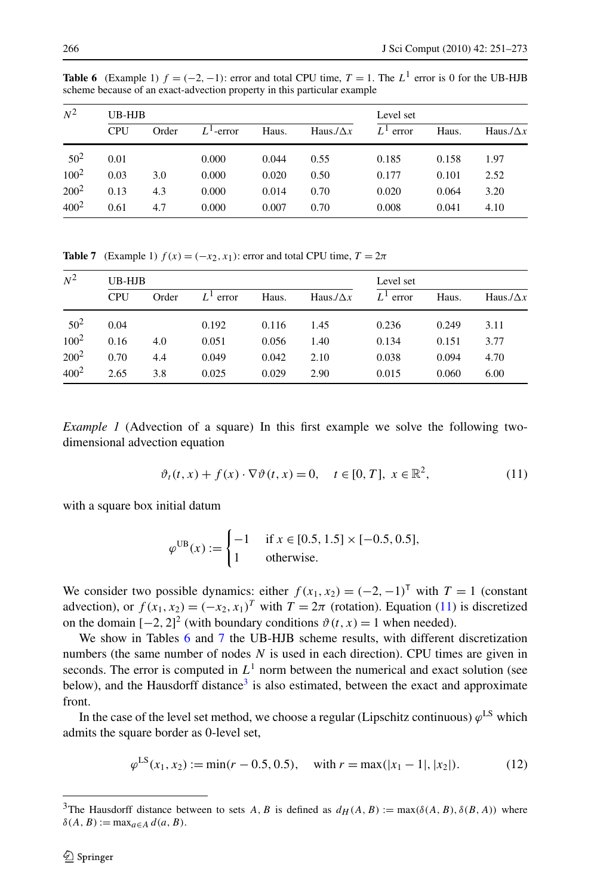| $N^2$     | UB-HJB     |       |              |       |                   | Level set   |       |                   |  |
|-----------|------------|-------|--------------|-------|-------------------|-------------|-------|-------------------|--|
|           | <b>CPU</b> | Order | $L^1$ -error | Haus. | Haus./ $\Delta x$ | $L^1$ error | Haus. | Haus./ $\Delta x$ |  |
| $50^{2}$  | 0.01       |       | 0.000        | 0.044 | 0.55              | 0.185       | 0.158 | 1.97              |  |
| $100^{2}$ | 0.03       | 3.0   | 0.000        | 0.020 | 0.50              | 0.177       | 0.101 | 2.52              |  |
| $200^2$   | 0.13       | 4.3   | 0.000        | 0.014 | 0.70              | 0.020       | 0.064 | 3.20              |  |
| $400^2$   | 0.61       | 4.7   | 0.000        | 0.007 | 0.70              | 0.008       | 0.041 | 4.10              |  |

**Table 6** (Example 1)  $f = (-2, -1)$ : error and total CPU time,  $T = 1$ . The  $L^1$  error is 0 for the UB-HJB scheme because of an exact-advection property in this particular example

**Table 7** (Example 1)  $f(x) = (-x_2, x_1)$ : error and total CPU time,  $T = 2\pi$ 

| $N^2$     | UB-HJB     |       |             | Level set |                   |             |       |                   |
|-----------|------------|-------|-------------|-----------|-------------------|-------------|-------|-------------------|
|           | <b>CPU</b> | Order | $L^1$ error | Haus.     | Haus./ $\Delta x$ | $L^1$ error | Haus. | Haus./ $\Delta x$ |
| $50^{2}$  | 0.04       |       | 0.192       | 0.116     | 1.45              | 0.236       | 0.249 | 3.11              |
| $100^{2}$ | 0.16       | 4.0   | 0.051       | 0.056     | 1.40              | 0.134       | 0.151 | 3.77              |
| $200^2$   | 0.70       | 4.4   | 0.049       | 0.042     | 2.10              | 0.038       | 0.094 | 4.70              |
| $400^{2}$ | 2.65       | 3.8   | 0.025       | 0.029     | 2.90              | 0.015       | 0.060 | 6.00              |

*Example 1* (Advection of a square) In this first example we solve the following twodimensional advection equation

$$
\vartheta_t(t,x) + f(x) \cdot \nabla \vartheta(t,x) = 0, \quad t \in [0,T], \ x \in \mathbb{R}^2,
$$
\n(11)

with a square box initial datum

$$
\varphi^{\text{UB}}(x) := \begin{cases} -1 & \text{if } x \in [0.5, 1.5] \times [-0.5, 0.5], \\ 1 & \text{otherwise.} \end{cases}
$$

We consider two possible dynamics: either  $f(x_1, x_2) = (-2, -1)^T$  with  $T = 1$  (constant advection), or  $f(x_1, x_2) = (-x_2, x_1)^T$  with  $T = 2\pi$  (rotation). Equation (11) is discretized on the domain  $[-2, 2]^2$  (with boundary conditions  $\vartheta(t, x) = 1$  when needed).

We show in Tables 6 and 7 the UB-HJB scheme results, with different discretization numbers (the same number of nodes *N* is used in each direction). CPU times are given in seconds. The error is computed in  $L^1$  norm between the numerical and exact solution (see below), and the Hausdorff distance<sup>3</sup> is also estimated, between the exact and approximate front.

In the case of the level set method, we choose a regular (Lipschitz continuous)  $\varphi$ <sup>LS</sup> which admits the square border as 0-level set,

$$
\varphi^{\text{LS}}(x_1, x_2) := \min(r - 0.5, 0.5), \quad \text{with } r = \max(|x_1 - 1|, |x_2|). \tag{12}
$$

<sup>&</sup>lt;sup>3</sup>The Hausdorff distance between to sets *A, B* is defined as  $d_H(A, B) := \max(\delta(A, B), \delta(B, A))$  where  $\delta(A, B) := \max_{a \in A} d(a, B).$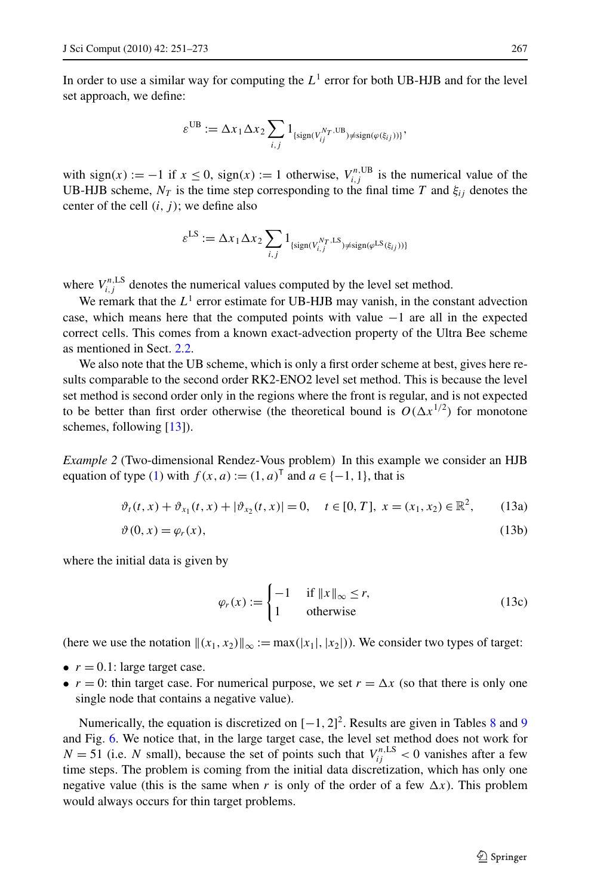In order to use a similar way for computing the  $L<sup>1</sup>$  error for both UB-HJB and for the level set approach, we define:

$$
\varepsilon^{\text{UB}} := \Delta x_1 \Delta x_2 \sum_{i,j} 1_{\{\text{sign}(V_{ij}^{N_T, \text{UB}}) \neq \text{sign}(\varphi(\xi_{ij}))\}},
$$

with sign(x) := −1 if  $x \le 0$ , sign(x) := 1 otherwise,  $V_{i,j}^{n,UB}$  is the numerical value of the UB-HJB scheme,  $N_T$  is the time step corresponding to the final time *T* and  $\xi_{ij}$  denotes the center of the cell  $(i, j)$ ; we define also

$$
\varepsilon^{\text{LS}} := \Delta x_1 \Delta x_2 \sum_{i,j} 1_{\{\text{sign}(V_{i,j}^{N_T,\text{LS}}) \neq \text{sign}(\varphi^{\text{LS}}(\xi_{ij}))\}}
$$

where  $V_{i,j}^{n,LS}$  denotes the numerical values computed by the level set method.

We remark that the  $L^1$  error estimate for UB-HJB may vanish, in the constant advection case, which means here that the computed points with value −1 are all in the expected correct cells. This comes from a known exact-advection property of the Ultra Bee scheme as mentioned in Sect. [2.2.](#page-6-0)

We also note that the UB scheme, which is only a first order scheme at best, gives here results comparable to the second order RK2-ENO2 level set method. This is because the level set method is second order only in the regions where the front is regular, and is not expected to be better than first order otherwise (the theoretical bound is  $O(\Delta x^{1/2})$  for monotone schemes, following [[13](#page-21-0)]).

*Example 2* (Two-dimensional Rendez-Vous problem) In this example we consider an HJB equation of type ([1\)](#page-3-0) with  $f(x, a) := (1, a)^T$  and  $a \in \{-1, 1\}$ , that is

$$
\vartheta_t(t, x) + \vartheta_{x_1}(t, x) + |\vartheta_{x_2}(t, x)| = 0, \quad t \in [0, T], \ x = (x_1, x_2) \in \mathbb{R}^2,
$$
 (13a)

$$
\vartheta(0, x) = \varphi_r(x),\tag{13b}
$$

where the initial data is given by

$$
\varphi_r(x) := \begin{cases} -1 & \text{if } \|x\|_{\infty} \le r, \\ 1 & \text{otherwise} \end{cases}
$$
(13c)

(here we use the notation  $\|(x_1, x_2)\|_{\infty} := \max(|x_1|, |x_2|)$ ). We consider two types of target:

- $r = 0.1$ : large target case.
- $r = 0$ : thin target case. For numerical purpose, we set  $r = \Delta x$  (so that there is only one single node that contains a negative value).

Numerically, the equation is discretized on [−1*,* 2] 2. Results are given in Tables [8](#page-17-0) and [9](#page-17-0) and Fig. [6.](#page-17-0) We notice that, in the large target case, the level set method does not work for  $N = 51$  (i.e. *N* small), because the set of points such that  $V_{ij}^{n,LS} < 0$  vanishes after a few time steps. The problem is coming from the initial data discretization, which has only one negative value (this is the same when *r* is only of the order of a few  $\Delta x$ ). This problem would always occurs for thin target problems.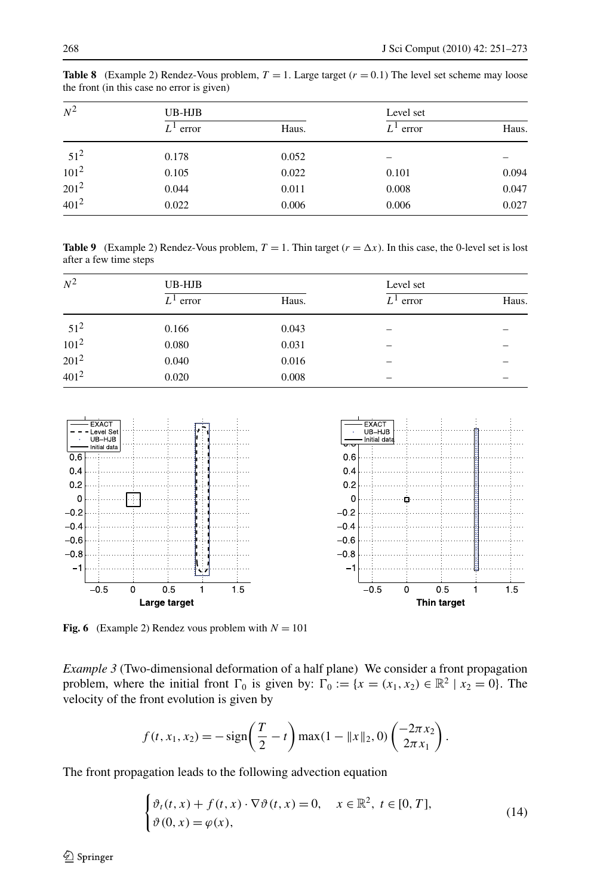| $N^2$   | UB-HJB      |       | Level set   |       |
|---------|-------------|-------|-------------|-------|
|         | $L^1$ error | Haus. | $L^1$ error | Haus. |
| $51^2$  | 0.178       | 0.052 |             |       |
| $101^2$ | 0.105       | 0.022 | 0.101       | 0.094 |
| $201^2$ | 0.044       | 0.011 | 0.008       | 0.047 |
| $401^2$ | 0.022       | 0.006 | 0.006       | 0.027 |

<span id="page-17-0"></span>**Table 8** (Example 2) Rendez-Vous problem,  $T = 1$ . Large target  $(r = 0.1)$  The level set scheme may loose the front (in this case no error is given)

**Table 9** (Example 2) Rendez-Vous problem,  $T = 1$ . Thin target  $(r = \Delta x)$ . In this case, the 0-level set is lost after a few time steps

| $N^2$   | UB-HJB      |       | Level set   |       |
|---------|-------------|-------|-------------|-------|
|         | $L^1$ error | Haus. | $L^1$ error | Haus. |
| $51^2$  | 0.166       | 0.043 |             |       |
| $101^2$ | 0.080       | 0.031 |             |       |
| $201^2$ | 0.040       | 0.016 |             |       |
| $401^2$ | 0.020       | 0.008 | -           |       |



**Fig. 6** (Example 2) Rendez vous problem with  $N = 101$ 

*Example 3* (Two-dimensional deformation of a half plane) We consider a front propagation problem, where the initial front  $\Gamma_0$  is given by:  $\Gamma_0 := \{x = (x_1, x_2) \in \mathbb{R}^2 \mid x_2 = 0\}$ . The velocity of the front evolution is given by

$$
f(t, x_1, x_2) = -\operatorname{sign}\left(\frac{T}{2} - t\right) \max(1 - \|x\|_2, 0) \left(\frac{-2\pi x_2}{2\pi x_1}\right).
$$

The front propagation leads to the following advection equation

$$
\begin{cases} \vartheta_t(t,x) + f(t,x) \cdot \nabla \vartheta(t,x) = 0, & x \in \mathbb{R}^2, \ t \in [0,T], \\ \vartheta(0,x) = \varphi(x), \end{cases}
$$
 (14)

Springer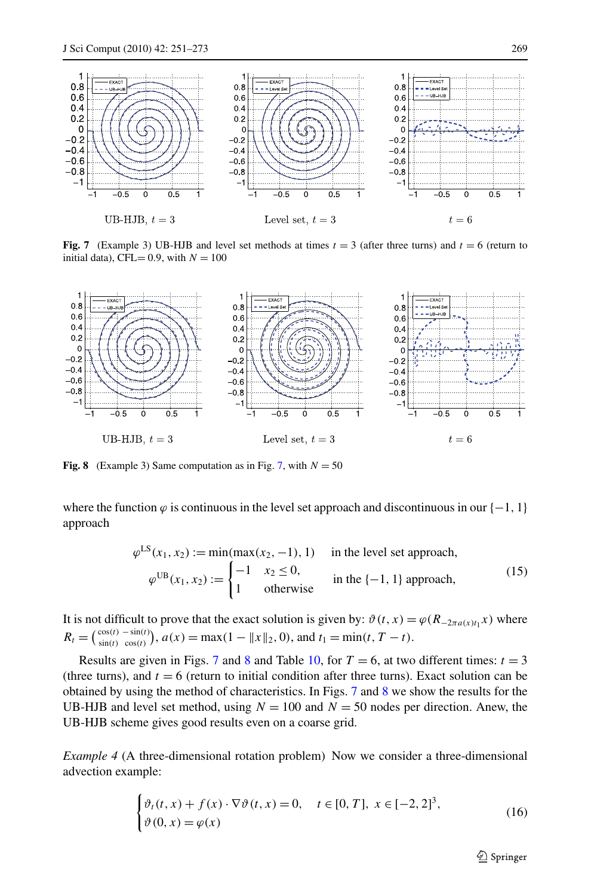

**Fig. 7** (Example 3) UB-HJB and level set methods at times  $t = 3$  (after three turns) and  $t = 6$  (return to initial data), CFL=  $0.9$ , with  $N = 100$ 



**Fig. 8** (Example 3) Same computation as in Fig. 7, with  $N = 50$ 

where the function  $\varphi$  is continuous in the level set approach and discontinuous in our  $\{-1, 1\}$ approach

$$
\varphi^{\text{LS}}(x_1, x_2) := \min(\max(x_2, -1), 1) \quad \text{in the level set approach,}
$$
\n
$$
\varphi^{\text{UB}}(x_1, x_2) := \begin{cases}\n-1 & x_2 \le 0, \\
1 & \text{otherwise}\n\end{cases} \quad \text{in the } \{-1, 1\} \text{ approach,}
$$
\n(15)

It is not difficult to prove that the exact solution is given by:  $\vartheta(t, x) = \varphi(R_{-2\pi a(x)t_1}x)$  where  $R_t = \begin{pmatrix} \cos(t) - \sin(t) \\ \sin(t) \end{pmatrix}$ ,  $a(x) = \max(1 - ||x||_2, 0)$ , and  $t_1 = \min(t, T - t)$ .

Results are given in Figs. 7 and 8 and Table [10](#page-19-0), for  $T = 6$ , at two different times:  $t = 3$ (three turns), and  $t = 6$  (return to initial condition after three turns). Exact solution can be obtained by using the method of characteristics. In Figs. 7 and 8 we show the results for the UB-HJB and level set method, using  $N = 100$  and  $N = 50$  nodes per direction. Anew, the UB-HJB scheme gives good results even on a coarse grid.

*Example 4* (A three-dimensional rotation problem) Now we consider a three-dimensional advection example:

$$
\begin{cases} \vartheta_t(t, x) + f(x) \cdot \nabla \vartheta(t, x) = 0, \quad t \in [0, T], \ x \in [-2, 2]^3, \\ \vartheta(0, x) = \varphi(x) \end{cases}
$$
 (16)

 $\textcircled{2}$  Springer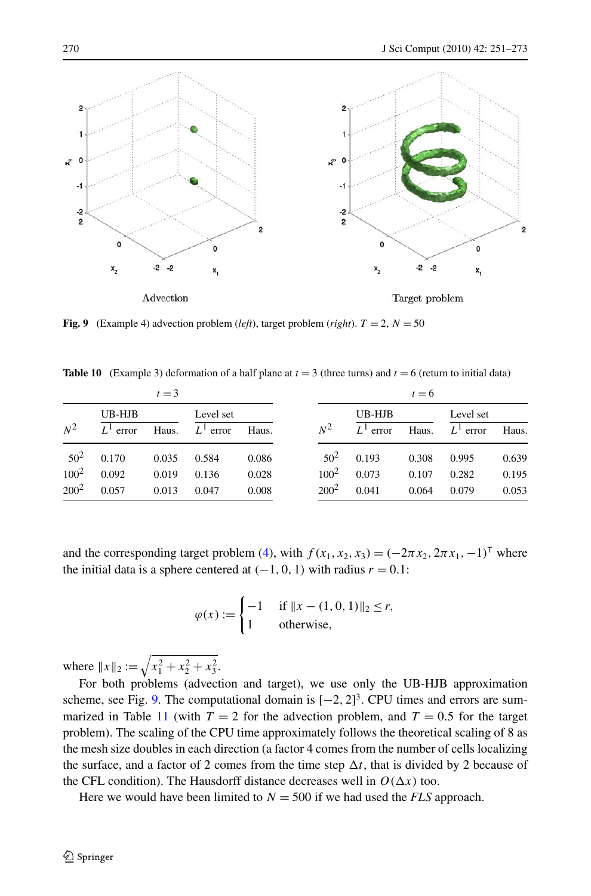<span id="page-19-0"></span>

**Fig. 9** (Example 4) advection problem (*left*), target problem (*right*).  $T = 2$ ,  $N = 50$ 

**Table 10** (Example 3) deformation of a half plane at  $t = 3$  (three turns) and  $t = 6$  (return to initial data)

|                  |             | $t = 3$ |             |       |                  | $t=6$       |       |             |       |  |
|------------------|-------------|---------|-------------|-------|------------------|-------------|-------|-------------|-------|--|
|                  | UB-HJB      |         | Level set   |       |                  | UB-HJB      |       | Level set   |       |  |
| $N^2$            | $L^1$ error | Haus.   | $L^1$ error | Haus. | $N^2$            | $L^1$ error | Haus. | $L^1$ error | Haus. |  |
| $50^{2}$         | 0.170       | 0.035   | 0.584       | 0.086 | 50 <sup>2</sup>  | 0.193       | 0.308 | 0.995       | 0.639 |  |
| 100 <sup>2</sup> | 0.092       | 0.019   | 0.136       | 0.028 | $100^2$          | 0.073       | 0.107 | 0.282       | 0.195 |  |
| $200^2$          | 0.057       | 0.013   | 0.047       | 0.008 | 200 <sup>2</sup> | 0.041       | 0.064 | 0.079       | 0.053 |  |

and the corresponding target problem [\(4](#page-5-0)), with  $f(x_1, x_2, x_3) = (-2\pi x_2, 2\pi x_1, -1)^\text{T}$  where the initial data is a sphere centered at  $(-1, 0, 1)$  with radius  $r = 0.1$ :

$$
\varphi(x) := \begin{cases} -1 & \text{if } \|x - (1, 0, 1)\|_2 \le r, \\ 1 & \text{otherwise,} \end{cases}
$$

where  $||x||_2 := \sqrt{x_1^2 + x_2^2 + x_3^2}$ .

For both problems (advection and target), we use only the UB-HJB approximation scheme, see Fig. 9. The computational domain is  $[-2, 2]^3$ . CPU times and errors are sum-marized in Table [11](#page-20-0) (with  $T = 2$  for the advection problem, and  $T = 0.5$  for the target problem). The scaling of the CPU time approximately follows the theoretical scaling of 8 as the mesh size doubles in each direction (a factor 4 comes from the number of cells localizing the surface, and a factor of 2 comes from the time step  $\Delta t$ , that is divided by 2 because of the CFL condition). The Hausdorff distance decreases well in  $O(\Delta x)$  too.

Here we would have been limited to  $N = 500$  if we had used the *FLS* approach.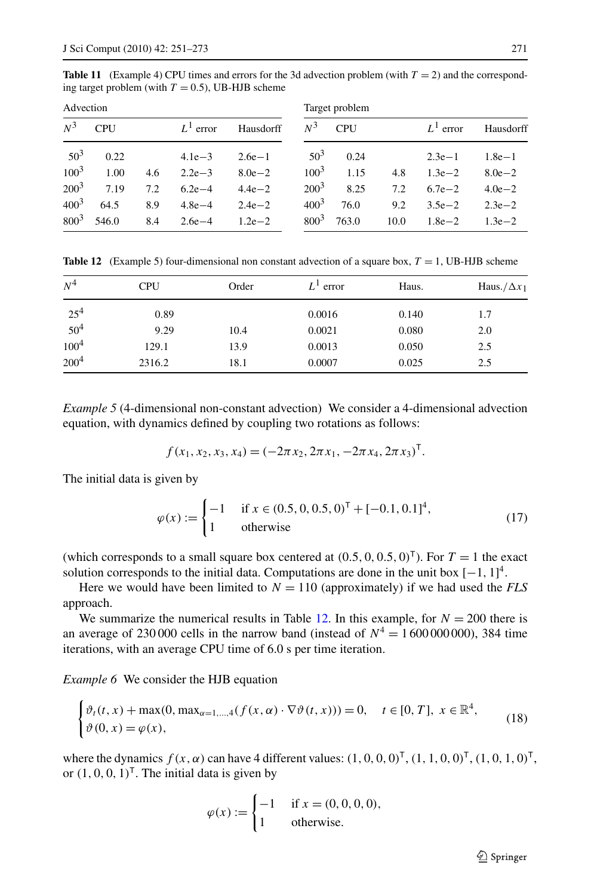<span id="page-20-0"></span>**Table 11** (Example 4) CPU times and errors for the 3d advection problem (with  $T = 2$ ) and the corresponding target problem (with  $T = 0.5$ ), UB-HJB scheme

| Advection |       |     |             |            | Target problem |       |      |             |            |  |
|-----------|-------|-----|-------------|------------|----------------|-------|------|-------------|------------|--|
| $N^3$     | CPU   |     | $L^1$ error | Hausdorff  | $N^3$          | CPU   |      | $L^1$ error | Hausdorff  |  |
| $50^{3}$  | 0.22  |     | $4.1e-3$    | $2.6e-1$   | $50^{3}$       | 0.24  |      | $2.3e-1$    | $1.8e-1$   |  |
| $100^3$   | 1.00  | 4.6 | $2.2e - 3$  | $8.0e - 2$ | $100^3$        | 1.15  | 4.8  | $1.3e - 2$  | $8.0e - 2$ |  |
| $200^3$   | 7.19  | 7.2 | $6.2e-4$    | $4.4e - 2$ | $200^3$        | 8.25  | 7.2  | $6.7e - 2$  | $4.0e - 2$ |  |
| $400^{3}$ | 64.5  | 8.9 | $4.8e - 4$  | $2.4e - 2$ | $400^3$        | 76.0  | 9.2  | $3.5e - 2$  | $2.3e-2$   |  |
| $800^3$   | 546.0 | 8.4 | $2.6e - 4$  | $1.2e - 2$ | $800^3$        | 763.0 | 10.0 | $1.8e - 2$  | $1.3e - 2$ |  |

**Table 12** (Example 5) four-dimensional non constant advection of a square box,  $T = 1$ , UB-HJB scheme

| $N^4$            | CPU    | Order | $L^1$ error | Haus. | Haus./ $\Delta x_1$ |
|------------------|--------|-------|-------------|-------|---------------------|
| 25 <sup>4</sup>  | 0.89   |       | 0.0016      | 0.140 | 1.7                 |
| 50 <sup>4</sup>  | 9.29   | 10.4  | 0.0021      | 0.080 | 2.0                 |
| $100^{4}$        | 129.1  | 13.9  | 0.0013      | 0.050 | 2.5                 |
| 200 <sup>4</sup> | 2316.2 | 18.1  | 0.0007      | 0.025 | 2.5                 |

*Example 5* (4-dimensional non-constant advection) We consider a 4-dimensional advection equation, with dynamics defined by coupling two rotations as follows:

$$
f(x_1, x_2, x_3, x_4) = (-2\pi x_2, 2\pi x_1, -2\pi x_4, 2\pi x_3)^{\mathsf{T}}.
$$

The initial data is given by

$$
\varphi(x) := \begin{cases}\n-1 & \text{if } x \in (0.5, 0, 0.5, 0)^{\top} + [-0.1, 0.1]^4, \\
1 & \text{otherwise}\n\end{cases}
$$
\n(17)

(which corresponds to a small square box centered at  $(0.5, 0, 0.5, 0)^T$ ). For  $T = 1$  the exact solution corresponds to the initial data. Computations are done in the unit box [−1*,* 1] 4.

Here we would have been limited to  $N = 110$  (approximately) if we had used the *FLS* approach.

We summarize the numerical results in Table  $12$ . In this example, for  $N = 200$  there is an average of 230 000 cells in the narrow band (instead of  $N^4 = 1\,600\,000\,000$ ), 384 time iterations, with an average CPU time of 6.0 s per time iteration.

*Example 6* We consider the HJB equation

$$
\begin{cases} \vartheta_t(t,x) + \max(0, \max_{\alpha=1,\dots,4} (f(x,\alpha) \cdot \nabla \vartheta(t,x))) = 0, \quad t \in [0,T], \ x \in \mathbb{R}^4, \\ \vartheta(0,x) = \varphi(x), \end{cases}
$$
(18)

where the dynamics  $f(x, \alpha)$  can have 4 different values:  $(1, 0, 0, 0)^T$ ,  $(1, 1, 0, 0)^T$ ,  $(1, 0, 1, 0)^T$ , or  $(1, 0, 0, 1)$ <sup>T</sup>. The initial data is given by

$$
\varphi(x) := \begin{cases} -1 & \text{if } x = (0, 0, 0, 0), \\ 1 & \text{otherwise.} \end{cases}
$$

 $\textcircled{2}$  Springer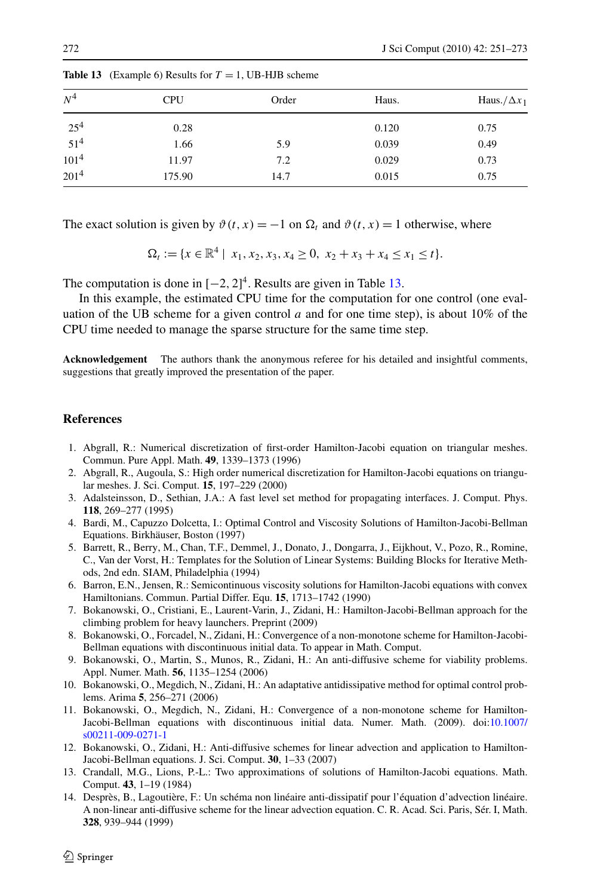| $N^4$            | <b>CPU</b> | Order | Haus. | Haus./ $\Delta x_1$ |
|------------------|------------|-------|-------|---------------------|
| 25 <sup>4</sup>  | 0.28       |       | 0.120 | 0.75                |
| 51 <sup>4</sup>  | 1.66       | 5.9   | 0.039 | 0.49                |
| 101 <sup>4</sup> | 11.97      | 7.2   | 0.029 | 0.73                |
| 201 <sup>4</sup> | 175.90     | 14.7  | 0.015 | 0.75                |

<span id="page-21-0"></span>**Table 13** (Example 6) Results for  $T = 1$ , UB-HJB scheme

The exact solution is given by  $\vartheta(t, x) = -1$  on  $\Omega_t$  and  $\vartheta(t, x) = 1$  otherwise, where

$$
\Omega_t := \{x \in \mathbb{R}^4 \mid x_1, x_2, x_3, x_4 \ge 0, x_2 + x_3 + x_4 \le x_1 \le t\}.
$$

The computation is done in  $[-2, 2]^4$ . Results are given in Table 13.

In this example, the estimated CPU time for the computation for one control (one evaluation of the UB scheme for a given control *a* and for one time step), is about 10% of the CPU time needed to manage the sparse structure for the same time step.

**Acknowledgement** The authors thank the anonymous referee for his detailed and insightful comments, suggestions that greatly improved the presentation of the paper.

## **References**

- 1. Abgrall, R.: Numerical discretization of first-order Hamilton-Jacobi equation on triangular meshes. Commun. Pure Appl. Math. **49**, 1339–1373 (1996)
- 2. Abgrall, R., Augoula, S.: High order numerical discretization for Hamilton-Jacobi equations on triangular meshes. J. Sci. Comput. **15**, 197–229 (2000)
- 3. Adalsteinsson, D., Sethian, J.A.: A fast level set method for propagating interfaces. J. Comput. Phys. **118**, 269–277 (1995)
- 4. Bardi, M., Capuzzo Dolcetta, I.: Optimal Control and Viscosity Solutions of Hamilton-Jacobi-Bellman Equations. Birkhäuser, Boston (1997)
- 5. Barrett, R., Berry, M., Chan, T.F., Demmel, J., Donato, J., Dongarra, J., Eijkhout, V., Pozo, R., Romine, C., Van der Vorst, H.: Templates for the Solution of Linear Systems: Building Blocks for Iterative Methods, 2nd edn. SIAM, Philadelphia (1994)
- 6. Barron, E.N., Jensen, R.: Semicontinuous viscosity solutions for Hamilton-Jacobi equations with convex Hamiltonians. Commun. Partial Differ. Equ. **15**, 1713–1742 (1990)
- 7. Bokanowski, O., Cristiani, E., Laurent-Varin, J., Zidani, H.: Hamilton-Jacobi-Bellman approach for the climbing problem for heavy launchers. Preprint (2009)
- 8. Bokanowski, O., Forcadel, N., Zidani, H.: Convergence of a non-monotone scheme for Hamilton-Jacobi-Bellman equations with discontinuous initial data. To appear in Math. Comput.
- 9. Bokanowski, O., Martin, S., Munos, R., Zidani, H.: An anti-diffusive scheme for viability problems. Appl. Numer. Math. **56**, 1135–1254 (2006)
- 10. Bokanowski, O., Megdich, N., Zidani, H.: An adaptative antidissipative method for optimal control problems. Arima **5**, 256–271 (2006)
- 11. Bokanowski, O., Megdich, N., Zidani, H.: Convergence of a non-monotone scheme for Hamilton-Jacobi-Bellman equations with discontinuous initial data. Numer. Math. (2009). doi[:10.1007/](http://dx.doi.org/10.1007/s00211-009-0271-1) [s00211-009-0271-1](http://dx.doi.org/10.1007/s00211-009-0271-1)
- 12. Bokanowski, O., Zidani, H.: Anti-diffusive schemes for linear advection and application to Hamilton-Jacobi-Bellman equations. J. Sci. Comput. **30**, 1–33 (2007)
- 13. Crandall, M.G., Lions, P.-L.: Two approximations of solutions of Hamilton-Jacobi equations. Math. Comput. **43**, 1–19 (1984)
- 14. Desprès, B., Lagoutière, F.: Un schéma non linéaire anti-dissipatif pour l'équation d'advection linéaire. A non-linear anti-diffusive scheme for the linear advection equation. C. R. Acad. Sci. Paris, Sér. I, Math. **328**, 939–944 (1999)